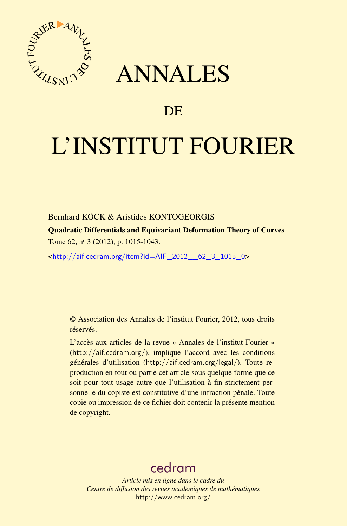

## ANNALES

### **DE**

# L'INSTITUT FOURIER

#### Bernhard KÖCK & Aristides KONTOGEORGIS

Quadratic Differentials and Equivariant Deformation Theory of Curves Tome 62, nº 3 (2012), p. 1015-1043.

<[http://aif.cedram.org/item?id=AIF\\_2012\\_\\_62\\_3\\_1015\\_0](http://aif.cedram.org/item?id=AIF_2012__62_3_1015_0)>

© Association des Annales de l'institut Fourier, 2012, tous droits réservés.

L'accès aux articles de la revue « Annales de l'institut Fourier » (<http://aif.cedram.org/>), implique l'accord avec les conditions générales d'utilisation (<http://aif.cedram.org/legal/>). Toute reproduction en tout ou partie cet article sous quelque forme que ce soit pour tout usage autre que l'utilisation à fin strictement personnelle du copiste est constitutive d'une infraction pénale. Toute copie ou impression de ce fichier doit contenir la présente mention de copyright.

## [cedram](http://www.cedram.org/)

*Article mis en ligne dans le cadre du Centre de diffusion des revues académiques de mathématiques* <http://www.cedram.org/>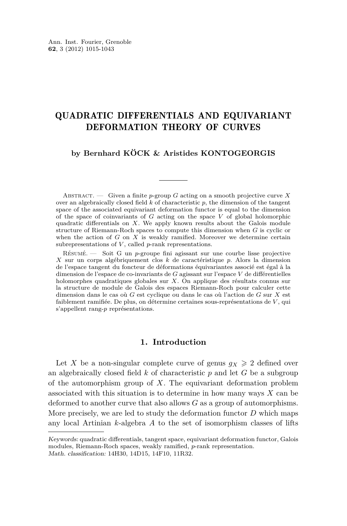#### QUADRATIC DIFFERENTIALS AND EQUIVARIANT DEFORMATION THEORY OF CURVES

#### **by Bernhard KÖCK & Aristides KONTOGEORGIS**

ABSTRACT. — Given a finite *p*-group *G* acting on a smooth projective curve X over an algebraically closed field *k* of characteristic *p*, the dimension of the tangent space of the associated equivariant deformation functor is equal to the dimension of the space of coinvariants of *G* acting on the space *V* of global holomorphic quadratic differentials on *X*. We apply known results about the Galois module structure of Riemann-Roch spaces to compute this dimension when *G* is cyclic or when the action of *G* on *X* is weakly ramified. Moreover we determine certain subrepresentations of *V*, called *p*-rank representations.

Résumé. — Soit G un *p*-groupe fini agissant sur une courbe lisse projective *X* sur un corps algébriquement clos *k* de caractéristique *p*. Alors la dimension de l'espace tangent du foncteur de déformations équivariantes associé est égal à la dimension de l'espace de co-invariants de *G* agissant sur l'espace *V* de différentielles holomorphes quadratiques globales sur *X*. On applique des résultats connus sur la structure de module de Galois des espaces Riemann-Roch pour calculer cette dimension dans le cas où *G* est cyclique ou dans le cas où l'action de *G* sur *X* est faiblement ramifiée. De plus, on détermine certaines sous-représentations de *V* , qui s'appellent rang-*p* représentations.

#### **1. Introduction**

Let *X* be a non-singular complete curve of genus  $g_X \geq 2$  defined over an algebraically closed field *k* of characteristic *p* and let *G* be a subgroup of the automorphism group of *X*. The equivariant deformation problem associated with this situation is to determine in how many ways *X* can be deformed to another curve that also allows *G* as a group of automorphisms. More precisely, we are led to study the deformation functor *D* which maps any local Artinian *k*-algebra *A* to the set of isomorphism classes of lifts

Keywords: quadratic differentials, tangent space, equivariant deformation functor, Galois modules, Riemann-Roch spaces, weakly ramified, *p*-rank representation. Math. classification: 14H30, 14D15, 14F10, 11R32.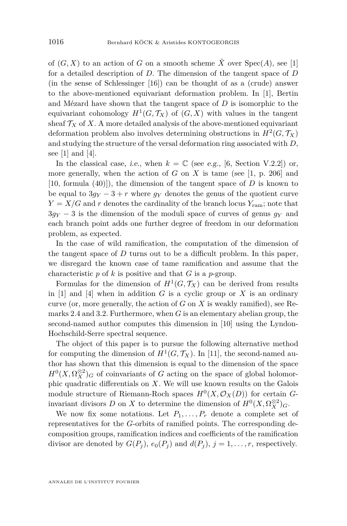of  $(G, X)$  to an action of *G* on a smooth scheme  $\tilde{X}$  over  $Spec(A)$ , see [\[1\]](#page-28-0) for a detailed description of *D*. The dimension of the tangent space of *D* (in the sense of Schlessinger [\[16\]](#page-29-0)) can be thought of as a (crude) answer to the above-mentioned equivariant deformation problem. In [\[1\]](#page-28-0), Bertin and Mézard have shown that the tangent space of *D* is isomorphic to the equivariant cohomology  $H^1(G, \mathcal{T}_X)$  of  $(G, X)$  with values in the tangent sheaf  $\mathcal{T}_X$  of X. A more detailed analysis of the above-mentioned equivariant deformation problem also involves determining obstructions in  $H^2(G, \mathcal{T}_X)$ and studying the structure of the versal deformation ring associated with *D*, see [\[1\]](#page-28-0) and [\[4\]](#page-28-0).

In the classical case, *i.e.*, when  $k = \mathbb{C}$  (see e.g., [\[6,](#page-28-0) Section V.2.2]) or, more generally, when the action of  $G$  on  $X$  is tame (see [\[1,](#page-28-0) p. 206] and  $[10, \text{ formula } (40)]$  $[10, \text{ formula } (40)]$ , the dimension of the tangent space of *D* is known to be equal to  $3q<sub>Y</sub> - 3 + r$  where  $q<sub>Y</sub>$  denotes the genus of the quotient curve  $Y = X/G$  and *r* denotes the cardinality of the branch locus  $Y_{\text{ram}}$ ; note that  $3g_Y - 3$  is the dimension of the moduli space of curves of genus  $g_Y$  and each branch point adds one further degree of freedom in our deformation problem, as expected.

In the case of wild ramification, the computation of the dimension of the tangent space of  $D$  turns out to be a difficult problem. In this paper, we disregard the known case of tame ramification and assume that the characteristic *p* of *k* is positive and that *G* is a *p*-group.

Formulas for the dimension of  $H^1(G, \mathcal{T}_X)$  can be derived from results in  $[1]$  and  $[4]$  when in addition *G* is a cyclic group or *X* is an ordinary curve (or, more generally, the action of *G* on *X* is weakly ramified), see Remarks [2.4](#page-7-0) and [3.2.](#page-9-0) Furthermore, when *G* is an elementary abelian group, the second-named author computes this dimension in [\[10\]](#page-29-0) using the Lyndon-Hochschild-Serre spectral sequence.

The object of this paper is to pursue the following alternative method for computing the dimension of  $H^1(G, \mathcal{T}_X)$ . In [\[11\]](#page-29-0), the second-named author has shown that this dimension is equal to the dimension of the space  $H^0(X, \Omega_X^{\otimes 2})$ *G* of coinvariants of *G* acting on the space of global holomorphic quadratic differentials on *X*. We will use known results on the Galois module structure of Riemann-Roch spaces  $H^0(X, \mathcal{O}_X(D))$  for certain *G*invariant divisors *D* on *X* to determine the dimension of  $H^0(X, \Omega_X^{\otimes 2})_G$ .

We now fix some notations. Let  $P_1, \ldots, P_r$  denote a complete set of representatives for the *G*-orbits of ramified points. The corresponding decomposition groups, ramification indices and coefficients of the ramification divisor are denoted by  $G(P_j)$ ,  $e_0(P_j)$  and  $d(P_j)$ ,  $j = 1, \ldots, r$ , respectively.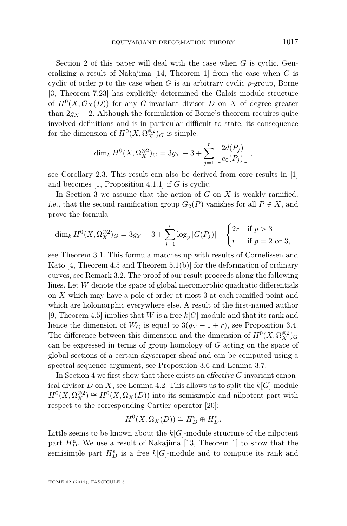Section [2](#page-5-0) of this paper will deal with the case when *G* is cyclic. Generalizing a result of Nakajima [\[14,](#page-29-0) Theorem 1] from the case when *G* is cyclic of order  $p$  to the case when  $G$  is an arbitrary cyclic  $p$ -group, Borne [\[3,](#page-28-0) Theorem 7.23] has explicitly determined the Galois module structure of  $H^0(X, \mathcal{O}_X(D))$  for any *G*-invariant divisor *D* on *X* of degree greater than  $2g_X - 2$ . Although the formulation of Borne's theorem requires quite involved definitions and is in particular difficult to state, its consequence for the dimension of  $H^0(X, \Omega_X^{\otimes 2})_G$  is simple:

$$
\dim_k H^0(X, \Omega_X^{\otimes 2})_G = 3g_Y - 3 + \sum_{j=1}^r \left[ \frac{2d(P_j)}{e_0(P_j)} \right],
$$

see Corollary [2.3.](#page-7-0) This result can also be derived from core results in [\[1\]](#page-28-0) and becomes [\[1,](#page-28-0) Proposition 4.1.1] if *G* is cyclic.

In Section [3](#page-9-0) we assume that the action of *G* on *X* is weakly ramified, i.e., that the second ramification group  $G_2(P)$  vanishes for all  $P \in X$ , and prove the formula

$$
\dim_k H^0(X, \Omega_X^{\otimes 2})_G = 3g_Y - 3 + \sum_{j=1}^r \log_p |G(P_j)| + \begin{cases} 2r & \text{if } p > 3 \\ r & \text{if } p = 2 \text{ or } 3, \end{cases}
$$

see Theorem 3.1. This formula matches up with results of Cornelissen and Kato  $[4,$  Theorem 4.5 and Theorem 5.1(b) for the deformation of ordinary curves, see Remark [3.2.](#page-9-0) The proof of our result proceeds along the following lines. Let *W* denote the space of global meromorphic quadratic differentials on *X* which may have a pole of order at most 3 at each ramified point and which are holomorphic everywhere else. A result of the first-named author [\[9,](#page-28-0) Theorem 4.5] implies that *W* is a free *k*[*G*]-module and that its rank and hence the dimension of  $W_G$  is equal to  $3(g_Y - 1 + r)$ , see Proposition [3.4.](#page-10-0) The difference between this dimension and the dimension of  $H^0(X, \Omega_X^{\otimes 2})_G$ can be expressed in terms of group homology of *G* acting on the space of global sections of a certain skyscraper sheaf and can be computed using a spectral sequence argument, see Proposition [3.6](#page-11-0) and Lemma [3.7.](#page-13-0)

In Section [4](#page-21-0) we first show that there exists an effective *G*-invariant canonical divisor *D* on *X*, see Lemma [4.2.](#page-22-0) This allows us to split the  $k[G]$ -module  $H^0(X, \Omega_X^{\otimes 2}) \cong H^0(X, \Omega_X(D))$  into its semisimple and nilpotent part with respect to the corresponding Cartier operator [\[20\]](#page-29-0):

$$
H^0(X, \Omega_X(D)) \cong H_D^{\mathrm{s}} \oplus H_D^{\mathrm{n}}.
$$

Little seems to be known about the  $k[G]$ -module structure of the nilpotent part  $H_D^n$ . We use a result of Nakajima [\[13,](#page-29-0) Theorem 1] to show that the semisimple part  $H_D^s$  is a free  $k[G]$ -module and to compute its rank and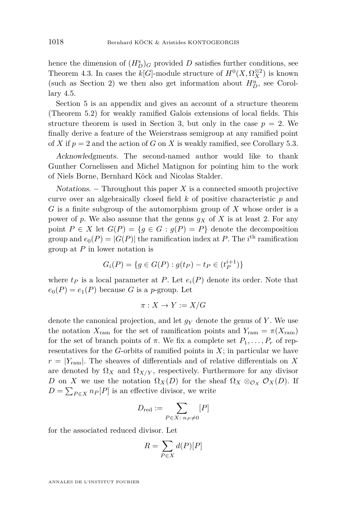hence the dimension of  $(H_D^s)$ <sub>*G*</sub> provided *D* satisfies further conditions, see Theorem [4.3.](#page-24-0) In cases the  $k[G]$ -module structure of  $H^0(X, \Omega_X^{\otimes 2})$  is known (such as Section [2\)](#page-5-0) we then also get information about  $H_D^n$ , see Corollary [4.5.](#page-25-0)

Section [5](#page-25-0) is an appendix and gives an account of a structure theorem (Theorem [5.2\)](#page-26-0) for weakly ramified Galois extensions of local fields. This structure theorem is used in Section [3,](#page-9-0) but only in the case  $p = 2$ . We finally derive a feature of the Weierstrass semigroup at any ramified point of *X* if  $p = 2$  and the action of *G* on *X* is weakly ramified, see Corollary [5.3.](#page-26-0)

Acknowledgments. The second-named author would like to thank Gunther Cornelissen and Michel Matignon for pointing him to the work of Niels Borne, Bernhard Köck and Nicolas Stalder.

Notations.  $-$  Throughout this paper X is a connected smooth projective curve over an algebraically closed field *k* of positive characteristic *p* and *G* is a finite subgroup of the automorphism group of *X* whose order is a power of p. We also assume that the genus  $g_X$  of X is at least 2. For any point  $P \in X$  let  $G(P) = \{g \in G : g(P) = P\}$  denote the decomposition group and  $e_0(P) = |G(P)|$  the ramification index at P. The *i*<sup>th</sup> ramification group at *P* in lower notation is

$$
G_i(P) = \{ g \in G(P) : g(t_P) - t_P \in (t_P^{i+1}) \}
$$

where  $t_P$  is a local parameter at  $P$ . Let  $e_i(P)$  denote its order. Note that  $e_0(P) = e_1(P)$  because *G* is a *p*-group. Let

$$
\pi: X \to Y := X/G
$$

denote the canonical projection, and let *g<sup>Y</sup>* denote the genus of *Y* . We use the notation  $X_{\text{ram}}$  for the set of ramification points and  $Y_{\text{ram}} = \pi(X_{\text{ram}})$ for the set of branch points of  $\pi$ . We fix a complete set  $P_1, \ldots, P_r$  of representatives for the *G*-orbits of ramified points in *X*; in particular we have  $r = |Y_{\text{ram}}|$ . The sheaves of differentials and of relative differentials on X are denoted by  $\Omega_X$  and  $\Omega_{X/Y}$ , respectively. Furthermore for any divisor *D* on *X* we use the notation  $\Omega_X(D)$  for the sheaf  $\Omega_X \otimes_{\mathcal{O}_X} \mathcal{O}_X(D)$ . If  $D = \sum_{P \in X} n_P[P]$  is an effective divisor, we write

$$
D_{\text{red}} := \sum_{P \in X \colon n_P \neq 0} [P]
$$

for the associated reduced divisor. Let

$$
R = \sum_{P \in X} d(P)[P]
$$

ANNALES DE L'INSTITUT FOURIER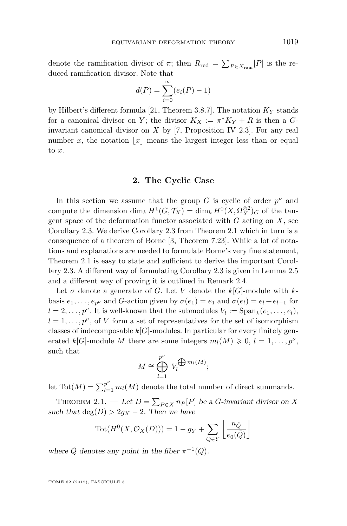<span id="page-5-0"></span>denote the ramification divisor of  $\pi$ ; then  $R_{\text{red}} = \sum_{P \in X_{\text{ram}}} [P]$  is the reduced ramification divisor. Note that

$$
d(P) = \sum_{i=0}^{\infty} (e_i(P) - 1)
$$

by Hilbert's different formula [\[21,](#page-29-0) Theorem 3.8.7]. The notation *K<sup>Y</sup>* stands for a canonical divisor on *Y*; the divisor  $K_X := \pi^* K_Y + R$  is then a *G*invariant canonical divisor on *X* by [\[7,](#page-28-0) Proposition IV 2.3]. For any real number *x*, the notation  $|x|$  means the largest integer less than or equal to *x*.

#### **2. The Cyclic Case**

In this section we assume that the group  $G$  is cyclic of order  $p^{\nu}$  and compute the dimension  $\dim_k H^1(G, \mathcal{T}_X) = \dim_k H^0(X, \Omega_X^{\otimes 2})_G$  of the tangent space of the deformation functor associated with *G* acting on *X*, see Corollary [2.3.](#page-7-0) We derive Corollary [2.3](#page-7-0) from Theorem 2.1 which in turn is a consequence of a theorem of Borne [\[3,](#page-28-0) Theorem 7.23]. While a lot of notations and explanations are needed to formulate Borne's very fine statement, Theorem 2.1 is easy to state and sufficient to derive the important Corollary [2.3.](#page-7-0) A different way of formulating Corollary [2.3](#page-7-0) is given in Lemma [2.5](#page-8-0) and a different way of proving it is outlined in Remark [2.4.](#page-7-0)

Let  $\sigma$  denote a generator of *G*. Let *V* denote the  $k[G]$ -module with *k*basis  $e_1, \ldots, e_{p^{\nu}}$  and *G*-action given by  $\sigma(e_1) = e_1$  and  $\sigma(e_i) = e_i + e_{i-1}$  for  $l = 2, \ldots, p^{\nu}$ . It is well-known that the submodules  $V_l := \text{Span}_k(e_1, \ldots, e_l)$ ,  $l = 1, \ldots, p^{\nu}$ , of *V* form a set of representatives for the set of isomorphism classes of indecomposable  $k[G]$ -modules. In particular for every finitely generated  $k[G]$ -module *M* there are some integers  $m_l(M) \geq 0, l = 1, \ldots, p^{\nu}$ , such that

$$
M \cong \bigoplus_{l=1}^{p^{\nu}} V_l^{\bigoplus m_l(M)};
$$

let  $\text{Tot}(M) = \sum_{l=1}^{p^{\nu}} m_l(M)$  denote the total number of direct summands.

THEOREM 2.1. — Let  $D = \sum_{P \in X} n_P[P]$  be a *G*-invariant divisor on *X* such that  $deg(D) > 2g_X - 2$ . Then we have

$$
Tot(H^{0}(X, \mathcal{O}_{X}(D))) = 1 - g_{Y} + \sum_{Q \in Y} \left\lfloor \frac{n_{\tilde{Q}}}{e_{0}(\tilde{Q})} \right\rfloor
$$

where  $\tilde{Q}$  denotes any point in the fiber  $\pi^{-1}(Q)$ .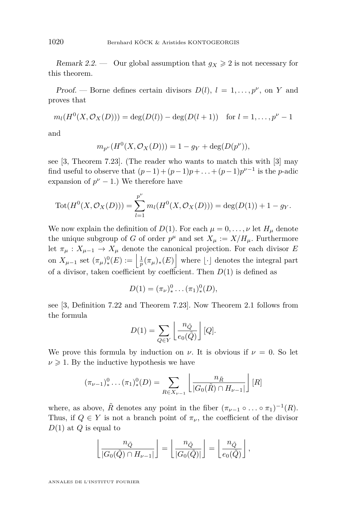Remark 2.2. — Our global assumption that  $g_X \geq 2$  is not necessary for this theorem.

Proof. — Borne defines certain divisors  $D(l)$ ,  $l = 1, \ldots, p^{\nu}$ , on *Y* and proves that

$$
m_l(H^0(X, \mathcal{O}_X(D))) = \deg(D(l)) - \deg(D(l+1))
$$
 for  $l = 1, ..., p^{\nu} - 1$ 

and

$$
m_{p^{\nu}}(H^{0}(X, \mathcal{O}_{X}(D))) = 1 - g_{Y} + \deg(D(p^{\nu})),
$$

see [\[3,](#page-28-0) Theorem 7.23]. (The reader who wants to match this with [\[3\]](#page-28-0) may find useful to observe that  $(p-1) + (p-1)p + ... + (p-1)p^{\nu-1}$  is the *p*-adic expansion of  $p^{\nu} - 1$ .) We therefore have

$$
Tot(H^{0}(X, \mathcal{O}_{X}(D))) = \sum_{l=1}^{p^{\nu}} m_{l}(H^{0}(X, \mathcal{O}_{X}(D))) = \deg(D(1)) + 1 - g_{Y}.
$$

We now explain the definition of  $D(1)$ . For each  $\mu = 0, \ldots, \nu$  let  $H_{\mu}$  denote the unique subgroup of *G* of order  $p^{\mu}$  and set  $X_{\mu} := X/H_{\mu}$ . Furthermore let  $\pi_{\mu}: X_{\mu-1} \to X_{\mu}$  denote the canonical projection. For each divisor *E* on  $X_{\mu-1}$  set  $(\pi_{\mu})^0_*(E) := \left| \frac{1}{p} (\pi_{\mu})_*(E) \right|$  where  $\lfloor \cdot \rfloor$  denotes the integral part of a divisor, taken coefficient by coefficient. Then  $D(1)$  is defined as

$$
D(1) = (\pi_{\nu})^0_* \dots (\pi_1)^0_*(D),
$$

see [\[3,](#page-28-0) Definition 7.22 and Theorem 7.23]. Now Theorem [2.1](#page-5-0) follows from the formula

$$
D(1) = \sum_{Q \in Y} \left\lfloor \frac{n_{\tilde{Q}}}{e_0(\tilde{Q})} \right\rfloor [Q].
$$

We prove this formula by induction on  $\nu$ . It is obvious if  $\nu = 0$ . So let  $\nu \geq 1$ . By the inductive hypothesis we have

$$
(\pi_{\nu-1})^0_* \dots (\pi_1)^0_*(D) = \sum_{R \in X_{\nu-1}} \left[ \frac{n_{\tilde{R}}}{|G_0(\tilde{R}) \cap H_{\nu-1}|} \right][R]
$$

where, as above,  $\tilde{R}$  denotes any point in the fiber  $(\pi_{\nu-1} \circ \ldots \circ \pi_1)^{-1}(R)$ . Thus, if  $Q \in Y$  is not a branch point of  $\pi_{\nu}$ , the coefficient of the divisor *D*(1) at *Q* is equal to

$$
\left\lfloor \frac{n_{\tilde{Q}}}{|G_0(\tilde{Q}) \cap H_{\nu-1}|} \right\rfloor = \left\lfloor \frac{n_{\tilde{Q}}}{|G_0(\tilde{Q})|} \right\rfloor = \left\lfloor \frac{n_{\tilde{Q}}}{e_0(\tilde{Q})} \right\rfloor,
$$

ANNALES DE L'INSTITUT FOURIER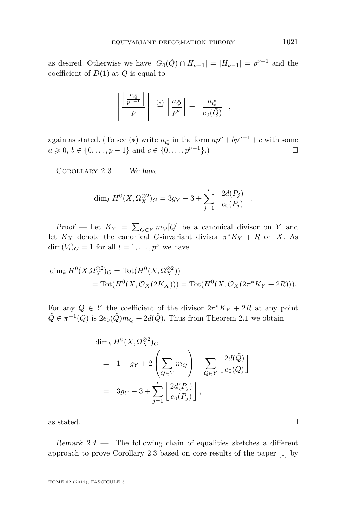<span id="page-7-0"></span>as desired. Otherwise we have  $|G_0(\tilde{Q}) \cap H_{\nu-1}| = |H_{\nu-1}| = p^{\nu-1}$  and the coefficient of *D*(1) at *Q* is equal to

$$
\left\lfloor \frac{\left\lfloor \frac{n_{\tilde{Q}}}{p^{\nu-1}} \right\rfloor}{p} \right\rfloor \stackrel{(*)}{=} \left\lfloor \frac{n_{\tilde{Q}}}{p^{\nu}} \right\rfloor = \left\lfloor \frac{n_{\tilde{Q}}}{e_0(\tilde{Q})} \right\rfloor,
$$

again as stated. (To see (\*) write  $n_{\tilde{O}}$  in the form  $ap^{\nu} + bp^{\nu-1} + c$  with some *a* ≥ 0, *b* ∈ {0, . . . , *p* − 1} and *c* ∈ {0, . . . , *p*<sup>*v*-1</sup>}.)

COROLLARY  $2.3.$  - We have

$$
\dim_k H^0(X, \Omega_X^{\otimes 2})_G = 3g_Y - 3 + \sum_{j=1}^r \left[ \frac{2d(P_j)}{e_0(P_j)} \right].
$$

Proof. — Let  $K_Y = \sum_{Q \in Y} m_Q[Q]$  be a canonical divisor on *Y* and let  $K_X$  denote the canonical *G*-invariant divisor  $\pi^* K_Y + R$  on *X*. As  $\dim(V_l)_G = 1$  for all  $l = 1, \ldots, p^{\nu}$  we have

$$
\dim_k H^0(X,\Omega_X^{\otimes 2})_G = \text{Tot}(H^0(X,\Omega_X^{\otimes 2}))
$$
  
= 
$$
\text{Tot}(H^0(X,\mathcal{O}_X(2K_X))) = \text{Tot}(H^0(X,\mathcal{O}_X(2\pi^*K_Y + 2R))).
$$

For any  $Q \in Y$  the coefficient of the divisor  $2\pi^* K_Y + 2R$  at any point  $\tilde{Q} \in \pi^{-1}(Q)$  is  $2e_0(\tilde{Q})m_Q + 2d(\tilde{Q})$ . Thus from Theorem [2.1](#page-5-0) we obtain

$$
\dim_k H^0(X, \Omega_X^{\otimes 2})_G
$$
\n
$$
= 1 - g_Y + 2 \left( \sum_{Q \in Y} m_Q \right) + \sum_{Q \in Y} \left[ \frac{2d(\tilde{Q})}{e_0(\tilde{Q})} \right]
$$
\n
$$
= 3g_Y - 3 + \sum_{j=1}^r \left[ \frac{2d(P_j)}{e_0(P_j)} \right],
$$

as stated.  $\hfill \square$ 

Remark  $2.4.$  — The following chain of equalities sketches a different approach to prove Corollary 2.3 based on core results of the paper [\[1\]](#page-28-0) by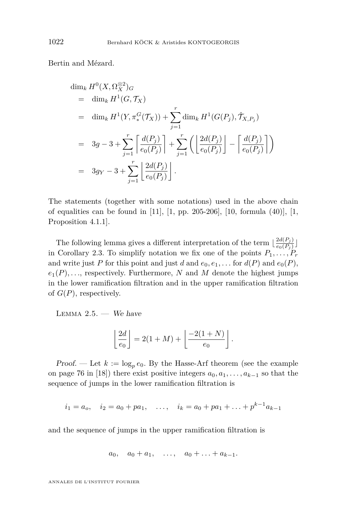<span id="page-8-0"></span>Bertin and Mézard.

$$
\dim_k H^0(X, \Omega_X^{\otimes 2})_G
$$
\n
$$
= \dim_k H^1(G, \mathcal{T}_X)
$$
\n
$$
= \dim_k H^1(Y, \pi_*^G(\mathcal{T}_X)) + \sum_{j=1}^r \dim_k H^1(G(P_j), \hat{\mathcal{T}}_{X, P_j})
$$
\n
$$
= 3g - 3 + \sum_{j=1}^r \left[ \frac{d(P_j)}{e_0(P_j)} \right] + \sum_{j=1}^r \left( \left[ \frac{2d(P_j)}{e_0(P_j)} \right] - \left[ \frac{d(P_j)}{e_0(P_j)} \right] \right)
$$
\n
$$
= 3g_Y - 3 + \sum_{j=1}^r \left[ \frac{2d(P_j)}{e_0(P_j)} \right].
$$

The statements (together with some notations) used in the above chain of equalities can be found in [\[11\]](#page-29-0), [\[1,](#page-28-0) pp. 205-206], [\[10,](#page-29-0) formula (40)], [\[1,](#page-28-0) Proposition 4.1.1].

The following lemma gives a different interpretation of the term  $\left\lfloor \frac{2d(P_j)}{e_0(P_j)} \right\rfloor$  $\frac{za(F_j)}{e_0(P_j)}$ in Corollary [2.3.](#page-7-0) To simplify notation we fix one of the points  $P_1, \ldots, P_r$ and write just *P* for this point and just *d* and  $e_0, e_1, \ldots$  for  $d(P)$  and  $e_0(P)$ ,  $e_1(P), \ldots$ , respectively. Furthermore, *N* and *M* denote the highest jumps in the lower ramification filtration and in the upper ramification filtration of *G*(*P*), respectively.

LEMMA  $2.5.$  — We have

$$
\left\lfloor\frac{2d}{e_0}\right\rfloor=2(1+M)+\left\lfloor\frac{-2(1+N)}{e_0}\right\rfloor.
$$

Proof. — Let  $k := \log_p e_0$ . By the Hasse-Arf theorem (see the example on page 76 in [\[18\]](#page-29-0)) there exist positive integers  $a_0, a_1, \ldots, a_{k-1}$  so that the sequence of jumps in the lower ramification filtration is

$$
i_1 = a_o
$$
,  $i_2 = a_0 + pa_1$ , ...,  $i_k = a_0 + pa_1 + ... + p^{k-1}a_{k-1}$ 

and the sequence of jumps in the upper ramification filtration is

$$
a_0, a_0 + a_1, \ldots, a_0 + \ldots + a_{k-1}.
$$

ANNALES DE L'INSTITUT FOURIER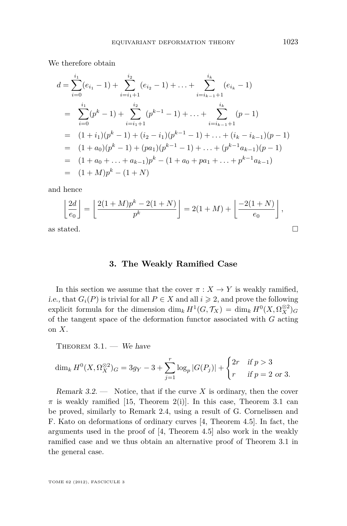<span id="page-9-0"></span>We therefore obtain

$$
d = \sum_{i=0}^{i_1} (e_{i_1} - 1) + \sum_{i=i_1+1}^{i_2} (e_{i_2} - 1) + \dots + \sum_{i=i_{k-1}+1}^{i_k} (e_{i_k} - 1)
$$
  
= 
$$
\sum_{i=0}^{i_1} (p^k - 1) + \sum_{i=i_1+1}^{i_2} (p^{k-1} - 1) + \dots + \sum_{i=i_{k-1}+1}^{i_k} (p - 1)
$$
  
= 
$$
(1 + i_1)(p^k - 1) + (i_2 - i_1)(p^{k-1} - 1) + \dots + (i_k - i_{k-1})(p - 1)
$$
  
= 
$$
(1 + a_0)(p^k - 1) + (pa_1)(p^{k-1} - 1) + \dots + (p^{k-1}a_{k-1})(p - 1)
$$
  
= 
$$
(1 + a_0 + \dots + a_{k-1})p^k - (1 + a_0 + pa_1 + \dots + p^{k-1}a_{k-1})
$$
  
= 
$$
(1 + M)p^k - (1 + N)
$$

and hence

$$
\left\lfloor \frac{2d}{e_0} \right\rfloor = \left\lfloor \frac{2(1+M)p^k - 2(1+N)}{p^k} \right\rfloor = 2(1+M) + \left\lfloor \frac{-2(1+N)}{e_0} \right\rfloor,
$$
as stated.

#### **3. The Weakly Ramified Case**

In this section we assume that the cover  $\pi : X \to Y$  is weakly ramified, *i.e.*, that  $G_i(P)$  is trivial for all  $P \in X$  and all  $i \geq 2$ , and prove the following explicit formula for the dimension  $\dim_k H^1(G, \mathcal{T}_X) = \dim_k H^0(X, \Omega_X^{\otimes 2})_G$ of the tangent space of the deformation functor associated with *G* acting on *X*.

THEOREM  $3.1.$  – We have

$$
\dim_k H^0(X, \Omega_X^{\otimes 2})_G = 3g_Y - 3 + \sum_{j=1}^r \log_p |G(P_j)| + \begin{cases} 2r & \text{if } p > 3 \\ r & \text{if } p = 2 \text{ or } 3. \end{cases}
$$

Remark  $3.2.$  — Notice, that if the curve X is ordinary, then the cover  $\pi$  is weakly ramified [\[15,](#page-29-0) Theorem 2(i)]. In this case, Theorem 3.1 can be proved, similarly to Remark [2.4,](#page-7-0) using a result of G. Cornelissen and F. Kato on deformations of ordinary curves [\[4,](#page-28-0) Theorem 4.5]. In fact, the arguments used in the proof of [\[4,](#page-28-0) Theorem 4.5] also work in the weakly ramified case and we thus obtain an alternative proof of Theorem 3.1 in the general case.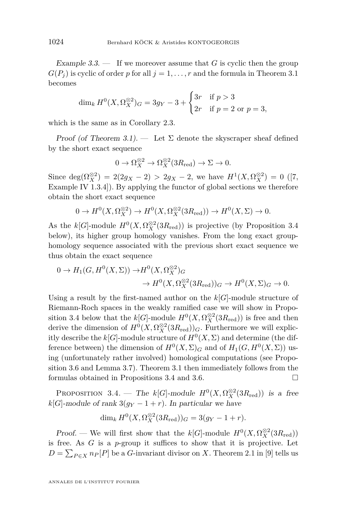<span id="page-10-0"></span>Example 3.3. — If we moreover assume that *G* is cyclic then the group  $G(P_i)$  is cyclic of order *p* for all  $j = 1, \ldots, r$  and the formula in Theorem [3.1](#page-9-0) becomes

$$
\dim_k H^0(X, \Omega_X^{\otimes 2})_G = 3g_Y - 3 + \begin{cases} 3r & \text{if } p > 3 \\ 2r & \text{if } p = 2 \text{ or } p = 3, \end{cases}
$$

which is the same as in Corollary [2.3.](#page-7-0)

Proof (of Theorem [3.1\)](#page-9-0). — Let  $\Sigma$  denote the skyscraper sheaf defined by the short exact sequence

$$
0 \to \Omega_X^{\otimes 2} \to \Omega_X^{\otimes 2}(3R_{\text{red}}) \to \Sigma \to 0.
$$

Since  $deg(\Omega_X^{\otimes 2}) = 2(2g_X - 2) > 2g_X - 2$ , we have  $H^1(X, \Omega_X^{\otimes 2}) = 0$  ([\[7,](#page-28-0) Example IV 1.3.4]). By applying the functor of global sections we therefore obtain the short exact sequence

$$
0 \to H^0(X, \Omega_X^{\otimes 2}) \to H^0(X, \Omega_X^{\otimes 2}(3R_{\text{red}})) \to H^0(X, \Sigma) \to 0.
$$

As the  $k[G]$ -module  $H^0(X, \Omega_X^{\otimes 2}(3R_{\text{red}}))$  is projective (by Proposition 3.4 below), its higher group homology vanishes. From the long exact grouphomology sequence associated with the previous short exact sequence we thus obtain the exact sequence

$$
0 \to H_1(G, H^0(X, \Sigma)) \to H^0(X, \Omega_X^{\otimes 2})_G
$$
  

$$
\to H^0(X, \Omega_X^{\otimes 2}(3R_{\text{red}}))_G \to H^0(X, \Sigma)_G \to 0.
$$

Using a result by the first-named author on the *k*[*G*]-module structure of Riemann-Roch spaces in the weakly ramified case we will show in Proposition 3.4 below that the  $k[G]$ -module  $H^0(X, \Omega_X^{\otimes 2}(3R_{\text{red}}))$  is free and then derive the dimension of  $H^0(X, \Omega_X^{\otimes 2}(3R_{\text{red}}))$  *G*. Furthermore we will explicitly describe the  $k[G]$ -module structure of  $H^0(X, \Sigma)$  and determine (the difference between) the dimension of  $H^0(X, \Sigma)_G$  and of  $H_1(G, H^0(X, \Sigma))$  using (unfortunately rather involved) homological computations (see Proposition [3.6](#page-11-0) and Lemma [3.7\)](#page-13-0). Theorem [3.1](#page-9-0) then immediately follows from the formulas obtained in Propositions 3.4 and [3.6.](#page-11-0)

PROPOSITION 3.4. — The  $k[G]$ -module  $H^0(X, \Omega_X^{\otimes 2}(3R_{\text{red}}))$  is a free  $k[G]$ -module of rank  $3(g_Y - 1 + r)$ . In particular we have

$$
\dim_k H^0(X, \Omega_X^{\otimes 2}(3R_{\text{red}}))_G = 3(g_Y - 1 + r).
$$

*Proof.* — We will first show that the  $k[G]$ -module  $H^0(X, \Omega_X^{\otimes 2}(3R_{\text{red}}))$ is free. As *G* is a *p*-group it suffices to show that it is projective. Let  $D = \sum_{P \in X} n_P[P]$  be a *G*-invariant divisor on *X*. Theorem 2.1 in [\[9\]](#page-28-0) tells us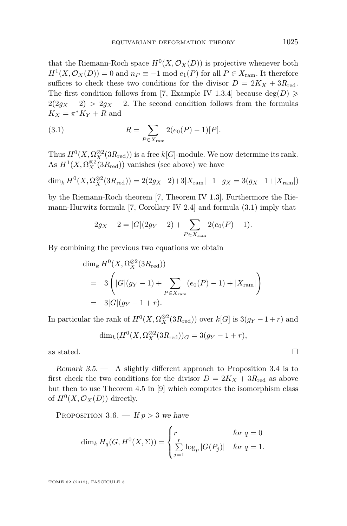<span id="page-11-0"></span>that the Riemann-Roch space  $H^0(X, \mathcal{O}_X(D))$  is projective whenever both  $H^1(X, \mathcal{O}_X(D)) = 0$  and  $n_P \equiv -1 \mod e_1(P)$  for all  $P \in X_{\text{ram}}$ . It therefore suffices to check these two conditions for the divisor  $D = 2K_X + 3R_{\text{red}}$ . The first condition follows from [\[7,](#page-28-0) Example IV 1.3.4] because  $deg(D) \geq$  $2(2g_X - 2) > 2g_X - 2$ . The second condition follows from the formulas  $K_X = \pi^* K_Y + R$  and

(3.1) 
$$
R = \sum_{P \in X_{\text{ram}}} 2(e_0(P) - 1)[P].
$$

Thus  $H^0(X, \Omega_X^{\otimes 2}(3R_{\text{red}}))$  is a free  $k[G]$ -module. We now determine its rank. As  $H^1(X, \Omega_X^{\otimes 2}(3R_{\text{red}}))$  vanishes (see above) we have

$$
\dim_k H^0(X, \Omega_X^{\otimes 2}(3R_{\text{red}})) = 2(2g_X - 2) + 3|X_{\text{ram}}| + 1 - g_X = 3(g_X - 1 + |X_{\text{ram}}|)
$$

by the Riemann-Roch theorem [\[7,](#page-28-0) Theorem IV 1.3]. Furthermore the Riemann-Hurwitz formula [\[7,](#page-28-0) Corollary IV 2.4] and formula (3.1) imply that

$$
2g_X - 2 = |G|(2g_Y - 2) + \sum_{P \in X_{\text{ram}}} 2(e_0(P) - 1).
$$

By combining the previous two equations we obtain

$$
\dim_k H^0(X, \Omega_X^{\otimes 2}(3R_{\text{red}}))
$$
\n
$$
= 3\left(|G|(g_Y - 1) + \sum_{P \in X_{\text{ram}}} (e_0(P) - 1) + |X_{\text{ram}}|\right)
$$
\n
$$
= 3|G|(g_Y - 1 + r).
$$

In particular the rank of  $H^0(X, \Omega_X^{\otimes 2}(3R_{\text{red}}))$  over  $k[G]$  is  $3(g_Y - 1 + r)$  and

$$
\dim_k(H^0(X, \Omega_X^{\otimes 2}(3R_{\text{red}}))_G = 3(g_Y - 1 + r),
$$

as stated.  $\hfill\Box$ 

Remark 3.5. — A slightly different approach to Proposition [3.4](#page-10-0) is to first check the two conditions for the divisor  $D = 2K_X + 3R_{\text{red}}$  as above but then to use Theorem 4.5 in [\[9\]](#page-28-0) which computes the isomorphism class of  $H^0(X, \mathcal{O}_X(D))$  directly.

PROPOSITION 3.6.  $-$  If  $p > 3$  we have

$$
\dim_k H_q(G, H^0(X, \Sigma)) = \begin{cases} r & \text{for } q = 0\\ \sum_{j=1}^r \log_p |G(P_j)| & \text{for } q = 1. \end{cases}
$$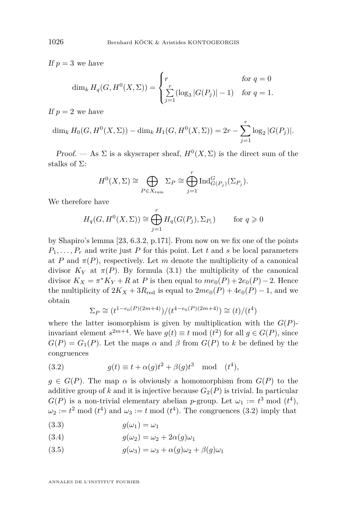If  $p = 3$  we have

$$
\dim_k H_q(G, H^0(X, \Sigma)) = \begin{cases} r & \text{for } q = 0\\ \sum_{j=1}^r (\log_3 |G(P_j)| - 1) & \text{for } q = 1. \end{cases}
$$

If  $p = 2$  we have

 $\dim_k H_0(G, H^0(X, \Sigma)) - \dim_k H_1(G, H^0(X, \Sigma)) = 2r - \sum_{i=1}^r$ *j*=1  $\log_2 |G(P_j)|.$ 

Proof. — As  $\Sigma$  is a skyscraper sheaf,  $H^0(X,\Sigma)$  is the direct sum of the stalks of Σ:

$$
H^{0}(X,\Sigma) \cong \bigoplus_{P \in X_{\text{ram}}} \Sigma_{P} \cong \bigoplus_{j=1}^{r} \text{Ind}_{G(P_{j})}^{G}(\Sigma_{P_{j}}).
$$

We therefore have

$$
H_q(G, H^0(X, \Sigma)) \cong \bigoplus_{j=1}^r H_q(G(P_j), \Sigma_{P_i}) \qquad \text{for } q \geqslant 0
$$

by Shapiro's lemma [\[23,](#page-29-0) 6.3.2, p.171]. From now on we fix one of the points  $P_1, \ldots, P_r$  and write just *P* for this point. Let *t* and *s* be local parameters at *P* and  $\pi(P)$ , respectively. Let *m* denote the multiplicity of a canonical divisor  $K_Y$  at  $\pi(P)$ . By formula [\(3.1\)](#page-11-0) the multiplicity of the canonical divisor  $K_X = \pi^* K_Y + R$  at *P* is then equal to  $me_0(P) + 2e_0(P) - 2$ . Hence the multiplicity of  $2K_X + 3R_{\text{red}}$  is equal to  $2me_0(P) + 4e_0(P) - 1$ , and we obtain

$$
\Sigma_P \cong (t^{1-e_0(P)(2m+4)})/(t^{4-e_0(P)(2m+4)}) \cong (t)/(t^4)
$$

where the latter isomorphism is given by multiplication with the  $G(P)$ invariant element  $s^{2m+4}$ . We have  $g(t) \equiv t \mod (t^2)$  for all  $g \in G(P)$ , since  $G(P) = G_1(P)$ . Let the maps  $\alpha$  and  $\beta$  from  $G(P)$  to  $k$  be defined by the congruences

(3.2) 
$$
g(t) \equiv t + \alpha(g)t^2 + \beta(g)t^3 \mod (t^4),
$$

 $g \in G(P)$ . The map  $\alpha$  is obviously a homomorphism from  $G(P)$  to the additive group of  $k$  and it is injective because  $G_2(P)$  is trivial. In particular  $G(P)$  is a non-trivial elementary abelian *p*-group. Let  $\omega_1 := t^3 \mod (t^4)$ ,  $\omega_2 := t^2 \mod(t^4)$  and  $\omega_3 := t \mod(t^4)$ . The congruences (3.2) imply that

$$
(3.3) \t\t g(\omega_1) = \omega_1
$$

(3.4) 
$$
g(\omega_2) = \omega_2 + 2\alpha(g)\omega_1
$$

(3.5)  $q(\omega_3) = \omega_3 + \alpha(q)\omega_2 + \beta(q)\omega_1$ 

ANNALES DE L'INSTITUT FOURIER

<span id="page-12-0"></span>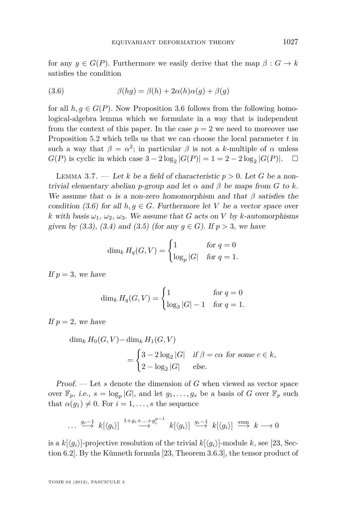<span id="page-13-0"></span>for any  $g \in G(P)$ . Furthermore we easily derive that the map  $\beta : G \to k$ satisfies the condition

(3.6) 
$$
\beta(hg) = \beta(h) + 2\alpha(h)\alpha(g) + \beta(g)
$$

for all  $h, g \in G(P)$ . Now Proposition [3.6](#page-11-0) follows from the following homological-algebra lemma which we formulate in a way that is independent from the context of this paper. In the case  $p = 2$  we need to moreover use Proposition [5.2](#page-26-0) which tells us that we can choose the local parameter *t* in such a way that  $\beta = \alpha^2$ ; in particular  $\beta$  is not a *k*-multiple of  $\alpha$  unless *G*(*P*) is cyclic in which case  $3 - 2 \log_2 |G(P)| = 1 = 2 - 2 \log_2 |G(P)|$ . □

LEMMA 3.7. — Let *k* be a field of characteristic  $p > 0$ . Let *G* be a nontrivial elementary abelian *p*-group and let  $\alpha$  and  $\beta$  be maps from *G* to *k*. We assume that  $\alpha$  is a non-zero homomorphism and that  $\beta$  satisfies the condition (3.6) for all  $h, g \in G$ . Furthermore let *V* be a vector space over *k* with basis  $\omega_1$ ,  $\omega_2$ ,  $\omega_3$ . We assume that *G* acts on *V* by *k*-automorphisms given by [\(3.3\)](#page-12-0), [\(3.4\)](#page-12-0) and [\(3.5\)](#page-12-0) (for any  $g \in G$ ). If  $p > 3$ , we have

$$
\dim_k H_q(G, V) = \begin{cases} 1 & \text{for } q = 0\\ \log_p |G| & \text{for } q = 1. \end{cases}
$$

If  $p = 3$ , we have

$$
\dim_k H_q(G, V) = \begin{cases} 1 & \text{for } q = 0\\ \log_3 |G| - 1 & \text{for } q = 1. \end{cases}
$$

If  $p = 2$ , we have

$$
\dim_k H_0(G, V) - \dim_k H_1(G, V)
$$
  
= 
$$
\begin{cases} 3 - 2\log_2|G| & \text{if } \beta = c\alpha \text{ for some } c \in k, \\ 2 - \log_2|G| & \text{else.} \end{cases}
$$

Proof. — Let *s* denote the dimension of *G* when viewed as vector space over  $\mathbb{F}_p$ , *i.e.*,  $s = \log_p |G|$ , and let  $g_1, \ldots, g_s$  be a basis of *G* over  $\mathbb{F}_p$  such that  $\alpha(g_1) \neq 0$ . For  $i = 1, \ldots, s$  the sequence

$$
\cdots \xrightarrow{g_i-1} k[\langle g_i \rangle] \xrightarrow{1+g_i+\cdots+g_i^{p-1}} k[\langle g_i \rangle] \xrightarrow{g_i-1} k[\langle g_i \rangle] \xrightarrow{\text{sum}} k \longrightarrow 0
$$

is a  $k[\langle q_i \rangle]$ -projective resolution of the trivial  $k[\langle q_i \rangle]$ -module *k*, see [\[23,](#page-29-0) Section 6.2]. By the Künneth formula [\[23,](#page-29-0) Theorem 3.6.3], the tensor product of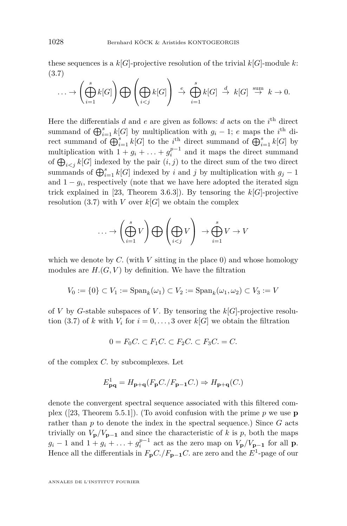these sequences is a  $k[G]$ -projective resolution of the trivial  $k[G]$ -module  $k$ : (3.7)

$$
\ldots \to \left(\bigoplus_{i=1}^s k[G]\right) \bigoplus \left(\bigoplus_{i < j} k[G]\right) \stackrel{e}{\to} \bigoplus_{i=1}^s k[G] \stackrel{d}{\to} k[G] \stackrel{\text{sum}}{\to} k \to 0.
$$

Here the differentials  $d$  and  $e$  are given as follows:  $d$  acts on the  $i<sup>th</sup>$  direct summand of  $\bigoplus_{i=1}^s k[G]$  by multiplication with  $g_i - 1$ ; *e* maps the *i*<sup>th</sup> direct summand of  $\bigoplus_{i=1}^s k[G]$  to the *i*<sup>th</sup> direct summand of  $\bigoplus_{i=1}^s k[G]$  by multiplication with  $1 + g_i + \ldots + g_i^{p-1}$  and it maps the direct summand of  $\bigoplus_{i \leq j} k[G]$  indexed by the pair  $(i, j)$  to the direct sum of the two direct summands of  $\bigoplus_{i=1}^s k[G]$  indexed by *i* and *j* by multiplication with  $g_j - 1$ and  $1 - g_i$ , respectively (note that we have here adopted the iterated sign trick explained in [\[23,](#page-29-0) Theorem 3.6.3]). By tensoring the  $k[G]$ -projective resolution  $(3.7)$  with *V* over  $k[G]$  we obtain the complex

$$
\ldots \to \left(\bigoplus_{i=1}^s V\right) \bigoplus \left(\bigoplus_{i < j} V\right) \to \bigoplus_{i=1}^s V \to V
$$

which we denote by  $C$ . (with  $V$  sitting in the place 0) and whose homology modules are  $H(G, V)$  by definition. We have the filtration

$$
V_0 := \{0\} \subset V_1 := \mathrm{Span}_k(\omega_1) \subset V_2 := \mathrm{Span}_k(\omega_1, \omega_2) \subset V_3 := V
$$

of *V* by *G*-stable subspaces of *V*. By tensoring the  $k[G]$ -projective resolution (3.7) of *k* with  $V_i$  for  $i = 0, \ldots, 3$  over  $k[G]$  we obtain the filtration

$$
0 = F_0 C. \subset F_1 C. \subset F_2 C. \subset F_3 C. = C.
$$

of the complex *C.* by subcomplexes. Let

$$
E_{\mathbf{pq}}^1 = H_{\mathbf{p}+\mathbf{q}}(F_{\mathbf{p}}C./F_{\mathbf{p}-\mathbf{1}}C.) \Rightarrow H_{\mathbf{p}+\mathbf{q}}(C.)
$$

denote the convergent spectral sequence associated with this filtered complex ([\[23,](#page-29-0) Theorem 5.5.1]). (To avoid confusion with the prime *p* we use **p** rather than *p* to denote the index in the spectral sequence.) Since *G* acts trivially on  $V_p/V_{p-1}$  and since the characteristic of *k* is *p*, both the maps  $g_i - 1$  and  $1 + g_i + \ldots + g_i^{p-1}$  act as the zero map on  $V_p/V_{p-1}$  for all **p**. Hence all the differentials in  $F_{\mathbf{p}}C$ ./ $F_{\mathbf{p-1}}C$ . are zero and the  $E^1$ -page of our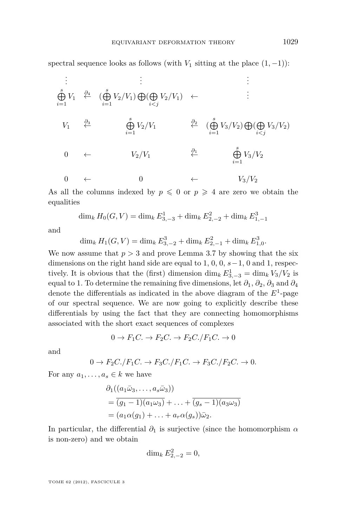spectral sequence looks as follows (with  $V_1$  sitting at the place  $(1, -1)$ ):

$$
\begin{array}{cccc}\n\vdots & \vdots & \vdots & \vdots \\
\stackrel{\delta}{\bigoplus} V_1 & \stackrel{\partial_4}{\leftarrow} & (\stackrel{\delta}{\bigoplus} V_2/V_1) \bigoplus (\bigoplus_{i < j} V_2/V_1) & \leftarrow & \vdots \\
V_1 & \stackrel{\partial_3}{\leftarrow} & \stackrel{\delta}{\bigoplus} V_2/V_1 & \stackrel{\partial_2}{\leftarrow} & (\stackrel{\delta}{\bigoplus} V_3/V_2) \bigoplus (\bigoplus_{i < j} V_3/V_2) \\
& & & & & \\
0 & \leftarrow & V_2/V_1 & \stackrel{\partial_1}{\leftarrow} & \stackrel{\delta}{\bigoplus} V_3/V_2 \\
& & & & & \\
0 & \leftarrow & V_2/V_1 & \stackrel{\partial_1}{\leftarrow} & \stackrel{\delta}{\bigoplus} V_3/V_2 \\
& & & & & \\
0 & \leftarrow & V_3/V_2\n\end{array}
$$

As all the columns indexed by  $p \leq 0$  or  $p \geq 4$  are zero we obtain the equalities

$$
\dim_k H_0(G, V) = \dim_k E_{3, -3}^1 + \dim_k E_{2, -2}^2 + \dim_k E_{1, -1}^3
$$

and

 $\dim_k H_1(G, V) = \dim_k E_{3, -2}^3 + \dim_k E_{2, -1}^2 + \dim_k E_{1, 0}^3$ .

We now assume that  $p > 3$  and prove Lemma [3.7](#page-13-0) by showing that the six dimensions on the right hand side are equal to 1, 0, 0, *s*−1, 0 and 1, respectively. It is obvious that the (first) dimension  $\dim_k E^1_{3,-3} = \dim_k V_3/V_2$  is equal to 1. To determine the remaining five dimensions, let  $\partial_1$ ,  $\partial_2$ ,  $\partial_3$  and  $\partial_4$ denote the differentials as indicated in the above diagram of the *E*<sup>1</sup> -page of our spectral sequence. We are now going to explicitly describe these differentials by using the fact that they are connecting homomorphisms associated with the short exact sequences of complexes

$$
0 \to F_1C. \to F_2C. \to F_2C./F_1C. \to 0
$$

and

$$
0 \to F_2C./F_1C. \to F_3C./F_1C. \to F_3C./F_2C. \to 0.
$$

For any  $a_1, \ldots, a_s \in k$  we have

$$
\partial_1((a_1\bar{\omega}_3,\ldots,a_s\bar{\omega}_3))
$$
  
=  $(g_1 - 1)(a_1\omega_3) + \ldots + (g_s - 1)(a_3\omega_3)$   
=  $(a_1\alpha(g_1) + \ldots + a_r\alpha(g_s))\bar{\omega}_2$ .

In particular, the differential  $\partial_1$  is surjective (since the homomorphism  $\alpha$ is non-zero) and we obtain

$$
\dim_k E_{2,-2}^2 = 0,
$$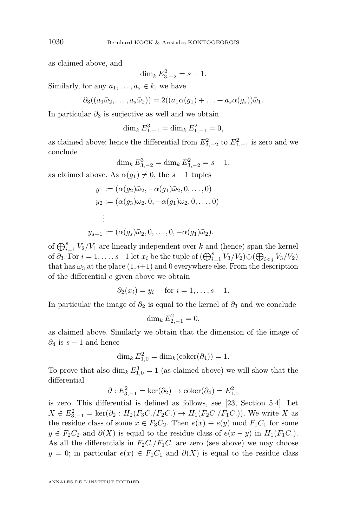as claimed above, and

$$
\dim_k E_{3,-2}^2 = s - 1.
$$

Similarly, for any  $a_1, \ldots, a_s \in k$ , we have

$$
\partial_3((a_1\bar{\omega}_2,\ldots,a_s\bar{\omega}_2))=2((a_1\alpha(g_1)+\ldots+a_s\alpha(g_s))\bar{\omega}_1.
$$

In particular  $\partial_3$  is surjective as well and we obtain

$$
\dim_k E^3_{1,-1} = \dim_k E^2_{1,-1} = 0,
$$

as claimed above; hence the differential from  $E_{3,-2}^2$  to  $E_{1,-1}^2$  is zero and we conclude

$$
\dim_k E_{3,-2}^3 = \dim_k E_{3,-2}^2 = s - 1,
$$

as claimed above. As  $\alpha(q_1) \neq 0$ , the  $s-1$  tuples

$$
y_1 := (\alpha(g_2)\bar{\omega}_2, -\alpha(g_1)\bar{\omega}_2, 0, \dots, 0)
$$
  
\n
$$
y_2 := (\alpha(g_3)\bar{\omega}_2, 0, -\alpha(g_1)\bar{\omega}_2, 0, \dots, 0)
$$
  
\n
$$
\vdots
$$
  
\n
$$
y_{s-1} := (\alpha(g_s)\bar{\omega}_2, 0, \dots, 0, -\alpha(g_1)\bar{\omega}_2).
$$

of 
$$
\bigoplus_{i=1}^{s} V_2/V_1
$$
 are linearly independent over k and (hence) span the kernel  
of  $\partial_3$ . For  $i = 1, ..., s-1$  let  $x_i$  be the tuple of  $(\bigoplus_{i=1}^{s} V_3/V_2) \oplus (\bigoplus_{i < j} V_3/V_2)$   
that has  $\bar{\omega}_3$  at the place  $(1, i+1)$  and 0 everywhere else. From the description  
of the differential e given above we obtain

$$
\partial_2(x_i) = y_i \quad \text{ for } i = 1, \dots, s-1.
$$

In particular the image of  $\partial_2$  is equal to the kernel of  $\partial_3$  and we conclude

$$
\dim_k E_{2,-1}^2 = 0,
$$

as claimed above. Similarly we obtain that the dimension of the image of  $\partial_4$  is  $s-1$  and hence

$$
\dim_k E_{1,0}^2 = \dim_k(\text{coker}(\partial_4)) = 1.
$$

To prove that also  $\dim_k E_{1,0}^3 = 1$  (as claimed above) we will show that the differential

$$
\partial: E_{3,-1}^2 = \ker(\partial_2) \to \mathrm{coker}(\partial_4) = E_{1,0}^2
$$

is zero. This differential is defined as follows, see [\[23,](#page-29-0) Section 5.4]. Let  $X \in E_{3,-1}^2 = \ker(\partial_2 : H_2(F_3C./F_2C.) \to H_1(F_2C./F_1C.).$  We write *X* as the residue class of some  $x \in F_3C_2$ . Then  $e(x) \equiv e(y) \mod F_1C_1$  for some *y* ∈ *F*<sub>2</sub>*C*<sub>2</sub> and  $\partial$ (*X*) is equal to the residue class of *e*(*x* − *y*) in *H*<sub>1</sub>(*F*<sub>1</sub>*C*.). As all the differentials in  $F_2C$ ./ $F_1C$ . are zero (see above) we may choose  $y = 0$ ; in particular  $e(x) \in F_1C_1$  and  $\partial(X)$  is equal to the residue class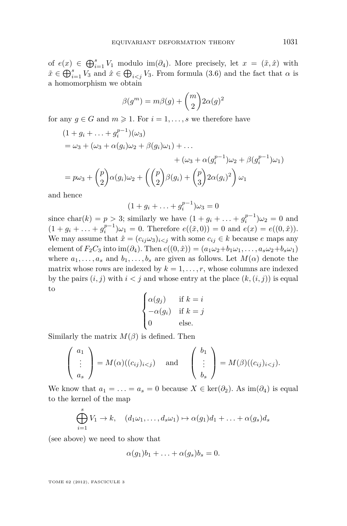of  $e(x) \in \bigoplus_{i=1}^s V_1$  modulo im( $\partial_4$ ). More precisely, let  $x = (\tilde{x}, \hat{x})$  with  $\tilde{x} \in \bigoplus_{i=1}^s V_3$  and  $\hat{x} \in \bigoplus_{i < j} V_3$ . From formula [\(3.6\)](#page-13-0) and the fact that  $\alpha$  is a homomorphism we obtain

$$
\beta(g^m) = m\beta(g) + \binom{m}{2} 2\alpha(g)^2
$$

for any  $g \in G$  and  $m \geq 1$ . For  $i = 1, \ldots, s$  we therefore have

$$
(1+g_i+\dots+g_i^{p-1})(\omega_3)
$$
  
=  $\omega_3 + (\omega_3 + \alpha(g_i)\omega_2 + \beta(g_i)\omega_1) + \dots$   
+  $(\omega_3 + \alpha(g_i^{p-1})\omega_2 + \beta(g_i^{p-1})\omega_1)$   
=  $p\omega_3 + {p \choose 2}\alpha(g_i)\omega_2 + ({p \choose 2}\beta(g_i) + {p \choose 3}2\alpha(g_i)^2)\omega_1$ 

and hence

$$
(1 + g_i + \ldots + g_i^{p-1})\omega_3 = 0
$$

since  $char(k) = p > 3$ ; similarly we have  $(1 + g_i + ... + g_i^{p-1})\omega_2 = 0$  and  $(1 + g_i + \ldots + g_i^{p-1})\omega_1 = 0$ . Therefore  $e((\tilde{x}, 0)) = 0$  and  $e(x) = e((0, \hat{x}))$ . We may assume that  $\hat{x} = (c_{ij}\omega_3)_{i \leq j}$  with some  $c_{ij} \in k$  because *e* maps any element of  $F_2C_3$  into im( $\partial_4$ ). Then  $e((0, \hat{x})) = (a_1\omega_2 + b_1\omega_1, \ldots, a_s\omega_2 + b_s\omega_1)$ where  $a_1, \ldots, a_s$  and  $b_1, \ldots, b_s$  are given as follows. Let  $M(\alpha)$  denote the matrix whose rows are indexed by  $k = 1, \ldots, r$ , whose columns are indexed by the pairs  $(i, j)$  with  $i < j$  and whose entry at the place  $(k, (i, j))$  is equal to

$$
\begin{cases} \alpha(g_j) & \text{if } k = i \\ -\alpha(g_i) & \text{if } k = j \\ 0 & \text{else.} \end{cases}
$$

Similarly the matrix  $M(\beta)$  is defined. Then

$$
\begin{pmatrix} a_1 \\ \vdots \\ a_s \end{pmatrix} = M(\alpha)((c_{ij})_{i < j}) \quad \text{and} \quad \begin{pmatrix} b_1 \\ \vdots \\ b_s \end{pmatrix} = M(\beta)((c_{ij})_{i < j}).
$$

We know that  $a_1 = \ldots = a_s = 0$  because  $X \in \text{ker}(\partial_2)$ . As  $\text{im}(\partial_4)$  is equal to the kernel of the map

$$
\bigoplus_{i=1}^s V_1 \to k, \quad (d_1\omega_1, \dots, d_s\omega_1) \mapsto \alpha(g_1)d_1 + \dots + \alpha(g_s)d_s
$$

(see above) we need to show that

$$
\alpha(g_1)b_1 + \ldots + \alpha(g_s)b_s = 0.
$$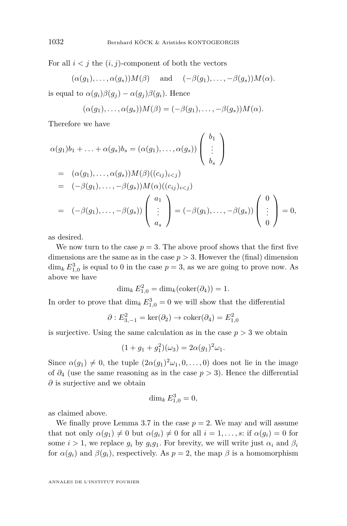For all  $i < j$  the  $(i, j)$ -component of both the vectors

$$
(\alpha(g_1), \ldots, \alpha(g_s))M(\beta)
$$
 and  $(-\beta(g_1), \ldots, -\beta(g_s))M(\alpha)$ .

is equal to  $\alpha(g_i)\beta(g_i) - \alpha(g_i)\beta(g_i)$ . Hence

$$
(\alpha(g_1),\ldots,\alpha(g_s))M(\beta)=(-\beta(g_1),\ldots,-\beta(g_s))M(\alpha).
$$

Therefore we have

$$
\alpha(g_1)b_1 + \ldots + \alpha(g_s)b_s = (\alpha(g_1), \ldots, \alpha(g_s)) \begin{pmatrix} b_1 \\ \vdots \\ b_s \end{pmatrix}
$$
  
=  $(\alpha(g_1), \ldots, \alpha(g_s))M(\beta)((c_{ij})_{i  
=  $(-\beta(g_1), \ldots, -\beta(g_s))M(\alpha)((c_{ij})_{i  
=  $(-\beta(g_1), \ldots, -\beta(g_s)) \begin{pmatrix} a_1 \\ \vdots \\ a_s \end{pmatrix} = (-\beta(g_1), \ldots, -\beta(g_s)) \begin{pmatrix} 0 \\ \vdots \\ 0 \end{pmatrix} = 0,$$$ 

as desired.

We now turn to the case  $p = 3$ . The above proof shows that the first five dimensions are the same as in the case  $p > 3$ . However the (final) dimension  $\dim_k E_{1,0}^3$  is equal to 0 in the case  $p=3$ , as we are going to prove now. As above we have

$$
\dim_k E_{1,0}^2 = \dim_k(\text{coker}(\partial_4)) = 1.
$$

In order to prove that  $\dim_k E_{1,0}^3 = 0$  we will show that the differential

$$
\partial : E_{3,-1}^2 = \ker(\partial_2) \to \mathrm{coker}(\partial_4) = E_{1,0}^2
$$

is surjective. Using the same calculation as in the case  $p > 3$  we obtain

$$
(1 + g_1 + g_1^2)(\omega_3) = 2\alpha (g_1)^2 \omega_1.
$$

Since  $\alpha(g_1) \neq 0$ , the tuple  $(2\alpha(g_1)^2 \omega_1, 0, \ldots, 0)$  does not lie in the image of *∂*<sup>4</sup> (use the same reasoning as in the case *p >* 3). Hence the differential *∂* is surjective and we obtain

$$
\dim_k E_{1,0}^3 = 0,
$$

as claimed above.

We finally prove Lemma [3.7](#page-13-0) in the case  $p = 2$ . We may and will assume that not only  $\alpha(g_1) \neq 0$  but  $\alpha(g_i) \neq 0$  for all  $i = 1, \ldots, s$ : if  $\alpha(g_i) = 0$  for some  $i > 1$ , we replace  $g_i$  by  $g_i g_1$ . For brevity, we will write just  $\alpha_i$  and  $\beta_i$ for  $\alpha(g_i)$  and  $\beta(g_i)$ , respectively. As  $p=2$ , the map  $\beta$  is a homomorphism

ANNALES DE L'INSTITUT FOURIER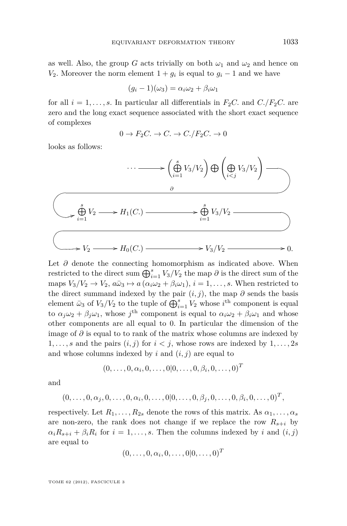as well. Also, the group *G* acts trivially on both  $\omega_1$  and  $\omega_2$  and hence on *V*<sub>2</sub>. Moreover the norm element  $1 + g_i$  is equal to  $g_i - 1$  and we have

$$
(g_i - 1)(\omega_3) = \alpha_i \omega_2 + \beta_i \omega_1
$$

for all  $i = 1, \ldots, s$ . In particular all differentials in  $F_2C$ , and  $C$ ./ $F_2C$ , are zero and the long exact sequence associated with the short exact sequence of complexes

$$
0 \to F_2C. \to C. \to C./F_2C. \to 0
$$

looks as follows:

$$
\cdots \longrightarrow \left(\bigoplus_{i=1}^{s} V_3/V_2\right) \bigoplus \left(\bigoplus_{i < j} V_3/V_2\right) \longrightarrow
$$
\n
$$
\downarrow \qquad \qquad \downarrow \qquad \downarrow \qquad \downarrow
$$
\n
$$
\downarrow \qquad \downarrow \qquad \downarrow \qquad \downarrow
$$
\n
$$
\downarrow \qquad \downarrow \qquad \downarrow \qquad \downarrow
$$
\n
$$
\downarrow \qquad \downarrow \qquad \downarrow
$$
\n
$$
\downarrow \qquad \downarrow \qquad \downarrow
$$
\n
$$
\downarrow \qquad \downarrow
$$
\n
$$
\downarrow \qquad \downarrow
$$
\n
$$
\downarrow
$$
\n
$$
\downarrow
$$
\n
$$
\downarrow
$$
\n
$$
\downarrow
$$
\n
$$
\downarrow
$$
\n
$$
\downarrow
$$
\n
$$
\downarrow
$$
\n
$$
\downarrow
$$
\n
$$
\downarrow
$$
\n
$$
\downarrow
$$
\n
$$
\downarrow
$$
\n
$$
\downarrow
$$
\n
$$
\downarrow
$$
\n
$$
\downarrow
$$
\n
$$
\downarrow
$$
\n
$$
\downarrow
$$
\n
$$
\downarrow
$$
\n
$$
\downarrow
$$
\n
$$
\downarrow
$$
\n
$$
\downarrow
$$
\n
$$
\downarrow
$$
\n
$$
\downarrow
$$
\n
$$
\downarrow
$$
\n
$$
\downarrow
$$
\n
$$
\downarrow
$$
\n
$$
\downarrow
$$
\n
$$
\downarrow
$$
\n
$$
\downarrow
$$
\n
$$
\downarrow
$$
\n
$$
\downarrow
$$
\n
$$
\downarrow
$$
\n
$$
\downarrow
$$
\n
$$
\downarrow
$$
\n
$$
\downarrow
$$
\n
$$
\downarrow
$$
\n
$$
\downarrow
$$
\n
$$
\downarrow
$$
\n
$$
\downarrow
$$
\n
$$
\downarrow
$$
\n
$$
\downarrow
$$
\n
$$
\downarrow
$$
\n
$$
\downarrow
$$
\n
$$
\downarrow
$$
\n
$$
\down
$$

Let *∂* denote the connecting homomorphism as indicated above. When restricted to the direct sum  $\bigoplus_{i=1}^s V_3/V_2$  the map  $\partial$  is the direct sum of the maps  $V_3/V_2 \rightarrow V_2$ ,  $a\bar{\omega}_3 \rightarrow a(\alpha_i\omega_2 + \beta_i\omega_1), i = 1, \ldots, s$ . When restricted to the direct summand indexed by the pair  $(i, j)$ , the map  $\partial$  sends the basis element  $\bar{\omega}_3$  of  $V_3/V_2$  to the tuple of  $\bigoplus_{i=1}^s V_2$  whose  $i^{\text{th}}$  component is equal to  $\alpha_j \omega_2 + \beta_j \omega_1$ , whose  $j^{\text{th}}$  component is equal to  $\alpha_i \omega_2 + \beta_i \omega_1$  and whose other components are all equal to 0. In particular the dimension of the image of *∂* is equal to to rank of the matrix whose columns are indexed by  $1, \ldots, s$  and the pairs  $(i, j)$  for  $i < j$ , whose rows are indexed by  $1, \ldots, 2s$ and whose columns indexed by  $i$  and  $(i, j)$  are equal to

$$
(0, \ldots, 0, \alpha_i, 0, \ldots, 0 | 0, \ldots, 0, \beta_i, 0, \ldots, 0)^T
$$

and

$$
(0, \ldots, 0, \alpha_j, 0, \ldots, 0, \alpha_i, 0, \ldots, 0 | 0, \ldots, 0, \beta_j, 0, \ldots, 0, \beta_i, 0, \ldots, 0)^T
$$
,

respectively. Let  $R_1, \ldots, R_{2s}$  denote the rows of this matrix. As  $\alpha_1, \ldots, \alpha_s$ are non-zero, the rank does not change if we replace the row  $R_{s+i}$  by  $\alpha_i R_{s+i} + \beta_i R_i$  for  $i = 1, \ldots, s$ . Then the columns indexed by *i* and  $(i, j)$ are equal to

$$
(0,\ldots,0,\alpha_i,0,\ldots,0|0,\ldots,0)^T
$$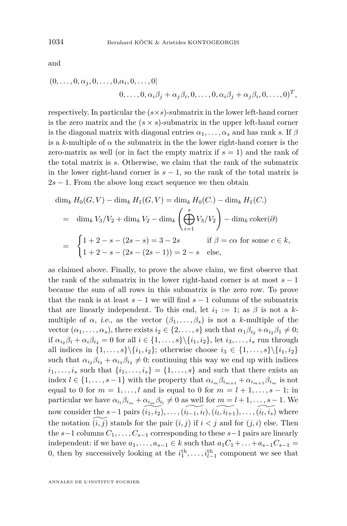and

$$
(0,\ldots,0,\alpha_j,0,\ldots,0,\alpha_i,0,\ldots,0)
$$
  

$$
0,\ldots,0,\alpha_i\beta_j+\alpha_j\beta_i,0,\ldots,0,\alpha_i\beta_j+\alpha_j\beta_i,0,\ldots,0)^T,
$$

respectively. In particular the (*s*×*s*)-submatrix in the lower left-hand corner is the zero matrix and the  $(s \times s)$ -submatrix in the upper left-hand corner is the diagonal matrix with diagonal entries  $\alpha_1, \ldots, \alpha_s$  and has rank *s*. If  $\beta$ is a *k*-multiple of  $\alpha$  the submatrix in the the lower right-hand corner is the zero-matrix as well (or in fact the empty matrix if  $s = 1$ ) and the rank of the total matrix is *s*. Otherwise, we claim that the rank of the submatrix in the lower right-hand corner is  $s - 1$ , so the rank of the total matrix is  $2s - 1$ . From the above long exact sequence we then obtain

$$
\dim_k H_0(G, V) - \dim_k H_1(G, V) = \dim_k H_0(C.) - \dim_k H_1(C.)
$$
  
=  $\dim_k V_3/V_2 + \dim_k V_2 - \dim_k \left(\bigoplus_{i=1}^s V_3/V_2\right) - \dim_k \text{coker}(\partial)$   
=  $\begin{cases} 1 + 2 - s - (2s - s) = 3 - 2s & \text{if } \beta = c\alpha \text{ for some } c \in k, \\ 1 + 2 - s - (2s - (2s - 1)) = 2 - s & \text{else,} \end{cases}$ 

as claimed above. Finally, to prove the above claim, we first observe that the rank of the submatrix in the lower right-hand corner is at most  $s - 1$ because the sum of all rows in this submatrix is the zero row. To prove that the rank is at least  $s - 1$  we will find  $s - 1$  columns of the submatrix that are linearly independent. To this end, let  $i_1 := 1$ ; as  $\beta$  is not a kmultiple of  $\alpha$ , i.e., as the vector  $(\beta_1, \ldots, \beta_s)$  is not a *k*-multiple of the vector  $(\alpha_1, \ldots, \alpha_s)$ , there exists  $i_2 \in \{2, \ldots, s\}$  such that  $\alpha_1 \beta_{i_2} + \alpha_{i_2} \beta_1 \neq 0;$ if  $\alpha_{i_2}\beta_i + \alpha_i\beta_{i_2} = 0$  for all  $i \in \{1, \ldots, s\} \setminus \{i_1, i_2\}$ , let  $i_3, \ldots, i_s$  run through all indices in  $\{1, ..., s\}\{i_1, i_2\}$ ; otherwise choose  $i_3 \in \{1, ..., s\}\{i_1, i_2\}$ such that  $\alpha_{i_2}\beta_{i_3} + \alpha_{i_3}\beta_{i_2} \neq 0$ ; continuing this way we end up with indices  $i_1, \ldots, i_s$  such that  $\{i_1, \ldots, i_s\} = \{1, \ldots, s\}$  and such that there exists an index  $l \in \{1, \ldots, s-1\}$  with the property that  $\alpha_{i_m} \beta_{i_{m+1}} + \alpha_{i_{m+1}} \beta_{i_m}$  is not equal to 0 for  $m = 1, \ldots, l$  and is equal to 0 for  $m = l + 1, \ldots, s - 1$ ; in particular we have  $\alpha_{i_l}\beta_{i_m} + \alpha_{i_m}\beta_{i_l} \neq 0$  as well for  $m = l + 1, \ldots, s - 1$ . We now consider the  $s-1$  pairs  $\widetilde{(i_1, i_2)}, \ldots, \widetilde{(i_{l-1}, i_l)}, \widetilde{(i_l, i_{l+1})}, \ldots, \widetilde{(i_l, i_s)}$  where the notation  $(i, j)$  stands for the pair  $(i, j)$  if  $i < j$  and for  $(j, i)$  else. Then the *s*−1 columns *C*1*, . . . , Cs*−<sup>1</sup> corresponding to these *s*−1 pairs are linearly independent: if we have  $a_1, \ldots, a_{s-1} \in k$  such that  $a_1C_1 + \ldots + a_{s-1}C_{s-1} =$ 0, then by successively looking at the  $i_1^{\text{th}}, \ldots, i_{l-1}^{\text{th}}$  component we see that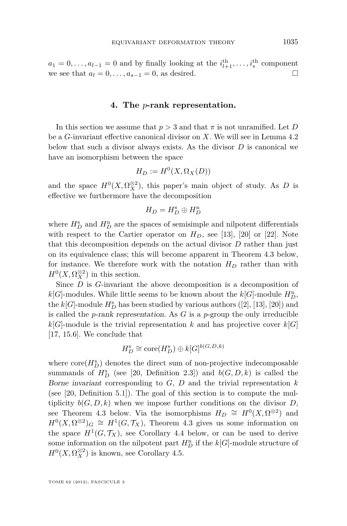<span id="page-21-0"></span> $a_1 = 0, \ldots, a_{l-1} = 0$  and by finally looking at the  $i_{l+1}^{\text{th}}, \ldots, i_s^{\text{th}}$  component we see that  $a_l = 0, \ldots, a_{s-1} = 0$ , as desired.

#### **4. The** *p***-rank representation.**

In this section we assume that  $p > 3$  and that  $\pi$  is not unramified. Let *D* be a *G*-invariant effective canonical divisor on *X*. We will see in Lemma [4.2](#page-22-0) below that such a divisor always exists. As the divisor *D* is canonical we have an isomorphism between the space

$$
H_D := H^0(X, \Omega_X(D))
$$

and the space  $H^0(X, \Omega_X^{\otimes 2})$ , this paper's main object of study. As *D* is effective we furthermore have the decomposition

$$
H_D=H_D^{\rm s}\oplus H_D^{\rm n}
$$

where  $H_D^{\rm s}$  and  $H_D^{\rm n}$  are the spaces of semisimple and nilpotent differentials with respect to the Cartier operator on  $H_D$ , see [\[13\]](#page-29-0), [\[20\]](#page-29-0) or [\[22\]](#page-29-0). Note that this decomposition depends on the actual divisor *D* rather than just on its equivalence class; this will become apparent in Theorem [4.3](#page-24-0) below, for instance. We therefore work with the notation  $H_D$  rather than with  $H^0(X, \Omega_X^{\otimes 2})$  in this section.

Since *D* is *G*-invariant the above decomposition is a decomposition of  $k[G]$ -modules. While little seems to be known about the  $k[G]$ -module  $H_D^n$ , the  $k[G]$ -module  $H_D^s$  has been studied by various authors ([\[2\]](#page-28-0), [\[13\]](#page-29-0), [\[20\]](#page-29-0)) and is called the *p*-rank representation. As *G* is a *p*-group the only irreducible  $k[G]$ -module is the trivial representation *k* and has projective cover  $k[G]$ [\[17,](#page-29-0) 15.6]. We conclude that

$$
H_D^s \cong \mathrm{core}(H_D^s) \oplus k[G]^{b(G,D,k)}
$$

where  $\text{core}(H_D^s)$  denotes the direct sum of non-projective indecomposable summands of  $H_D^s$  (see [\[20,](#page-29-0) Definition 2.3]) and  $b(G, D, k)$  is called the Borne invariant corresponding to *G*, *D* and the trivial representation *k* (see [\[20,](#page-29-0) Definition 5.1]). The goal of this section is to compute the multiplicity  $b(G, D, k)$  when we impose further conditions on the divisor *D*, see Theorem [4.3](#page-24-0) below. Via the isomorphisms  $H_D \cong H^0(X, \Omega^{\otimes 2})$  and  $H^0(X, \Omega^{\otimes 2})_G \cong H^1(G, \mathcal{T}_X)$ , Theorem [4.3](#page-24-0) gives us some information on the space  $H^1(G, \mathcal{T}_X)$ , see Corollary [4.4](#page-24-0) below, or can be used to derive some information on the nilpotent part  $H_D^n$  if the  $k[G]$ -module structure of  $H^0(X, \Omega_X^{\otimes 2})$  is known, see Corollary [4.5.](#page-25-0)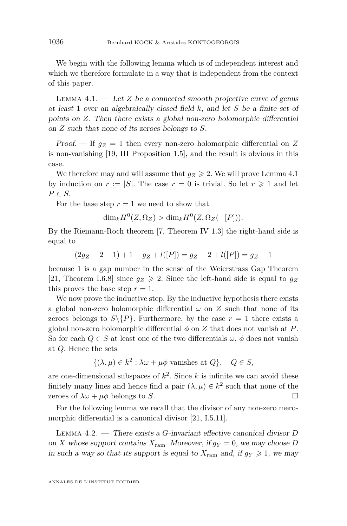<span id="page-22-0"></span>We begin with the following lemma which is of independent interest and which we therefore formulate in a way that is independent from the context of this paper.

LEMMA  $4.1.$  — Let  $Z$  be a connected smooth projective curve of genus at least 1 over an algebraically closed field *k*, and let *S* be a finite set of points on *Z*. Then there exists a global non-zero holomorphic differential on *Z* such that none of its zeroes belongs to *S*.

Proof.  $\overline{\phantom{a}}$  If  $g_Z = 1$  then every non-zero holomorphic differential on Z is non-vanishing [\[19,](#page-29-0) III Proposition 1.5], and the result is obvious in this case.

We therefore may and will assume that  $q_Z \geq 2$ . We will prove Lemma 4.1 by induction on  $r := |S|$ . The case  $r = 0$  is trivial. So let  $r \geq 1$  and let  $P \in S$ .

For the base step  $r = 1$  we need to show that

$$
\dim_k H^0(Z, \Omega_Z) > \dim_k H^0(Z, \Omega_Z(-[P])).
$$

By the Riemann-Roch theorem [\[7,](#page-28-0) Theorem IV 1.3] the right-hand side is equal to

$$
(2g_Z - 2 - 1) + 1 - g_Z + l([P]) = g_Z - 2 + l([P]) = g_Z - 1
$$

because 1 is a gap number in the sense of the Weierstrass Gap Theorem [\[21,](#page-29-0) Theorem I.6.8] since  $g_Z \geq 2$ . Since the left-hand side is equal to  $g_Z$ this proves the base step  $r = 1$ .

We now prove the inductive step. By the inductive hypothesis there exists a global non-zero holomorphic differential  $\omega$  on  $Z$  such that none of its zeroes belongs to  $S\backslash\{P\}$ . Furthermore, by the case  $r=1$  there exists a global non-zero holomorphic differential  $\phi$  on  $Z$  that does not vanish at  $P$ . So for each  $Q \in S$  at least one of the two differentials  $\omega$ ,  $\phi$  does not vanish at *Q*. Hence the sets

$$
\{(\lambda,\mu)\in k^2:\lambda\omega+\mu\phi\text{ vanishes at }Q\},\quad Q\in S,
$$

are one-dimensional subspaces of *k* 2 . Since *k* is infinite we can avoid these finitely many lines and hence find a pair  $(\lambda, \mu) \in k^2$  such that none of the zeroes of  $\lambda \omega + \mu \phi$  belongs to *S*.

For the following lemma we recall that the divisor of any non-zero mero-morphic differential is a canonical divisor [\[21,](#page-29-0) I.5.11].

Lemma 4.2. — There exists a *G*-invariant effective canonical divisor *D* on *X* whose support contains  $X_{\text{ram}}$ . Moreover, if  $g_Y = 0$ , we may choose *D* in such a way so that its support is equal to  $X_{\text{ram}}$  and, if  $g_Y \geq 1$ , we may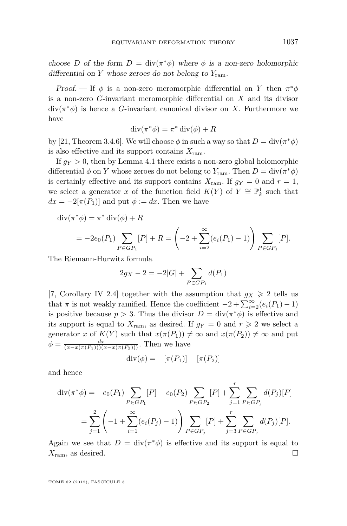choose *D* of the form  $D = \text{div}(\pi^*\phi)$  where  $\phi$  is a non-zero holomorphic differential on *Y* whose zeroes do not belong to  $Y_{\text{ram}}$ .

Proof. — If  $\phi$  is a non-zero meromorphic differential on *Y* then  $\pi^*\phi$ is a non-zero *G*-invariant meromorphic differential on *X* and its divisor  $div(\pi^*\phi)$  is hence a *G*-invariant canonical divisor on *X*. Furthermore we have

$$
\operatorname{div}(\pi^*\phi) = \pi^* \operatorname{div}(\phi) + R
$$

by [\[21,](#page-29-0) Theorem 3.4.6]. We will choose  $\phi$  in such a way so that  $D = \text{div}(\pi^*\phi)$ is also effective and its support contains *X*ram.

If  $g_Y > 0$ , then by Lemma [4.1](#page-22-0) there exists a non-zero global holomorphic differential  $\phi$  on *Y* whose zeroes do not belong to  $Y_{\text{ram}}$ . Then  $D = \text{div}(\pi^*\phi)$ is certainly effective and its support contains  $X_{\text{ram}}$ . If  $g_Y = 0$  and  $r = 1$ , we select a generator *x* of the function field  $K(Y)$  of  $Y \cong \mathbb{P}^1_k$  such that  $dx = -2[\pi(P_1)]$  and put  $\phi := dx$ . Then we have

 $\operatorname{div}(\pi^*\phi) = \pi^* \operatorname{div}(\phi) + R$ 

$$
= -2e_0(P_1)\sum_{P \in GP_1} [P] + R = \left(-2 + \sum_{i=2}^{\infty} (e_i(P_1) - 1)\right) \sum_{P \in GP_1} [P].
$$

The Riemann-Hurwitz formula

$$
2g_X - 2 = -2|G| + \sum_{P \in GP_1} d(P_1)
$$

[\[7,](#page-28-0) Corollary IV 2.4] together with the assumption that  $g_X \geq 2$  tells us that *π* is not weakly ramified. Hence the coefficient  $-2 + \sum_{i=2}^{\infty} (e_i(P_1) - 1)$ is positive because  $p > 3$ . Thus the divisor  $D = \text{div}(\pi^* \phi)$  is effective and its support is equal to  $X_{\text{ram}}$ , as desired. If  $g_Y = 0$  and  $r \geq 2$  we select a generator *x* of  $K(Y)$  such that  $x(\pi(P_1)) \neq \infty$  and  $x(\pi(P_2)) \neq \infty$  and put  $\phi = \frac{dx}{(x - x(\pi(P_1)))(x - x(\pi(P_2)))}$ . Then we have

$$
div(\phi) = -[\pi(P_1)] - [\pi(P_2)]
$$

and hence

$$
\operatorname{div}(\pi^*\phi) = -e_0(P_1) \sum_{P \in GP_1} [P] - e_0(P_2) \sum_{P \in GP_2} [P] + \sum_{j=1}^r \sum_{P \in GP_j} d(P_j)[P]
$$
  
= 
$$
\sum_{j=1}^2 \left(-1 + \sum_{i=1}^\infty (e_i(P_j) - 1) \right) \sum_{P \in GP_j} [P] + \sum_{j=3}^r \sum_{P \in GP_j} d(P_j)[P].
$$

Again we see that  $D = \text{div}(\pi^* \phi)$  is effective and its support is equal to  $X_{\text{ram}}$ , as desired.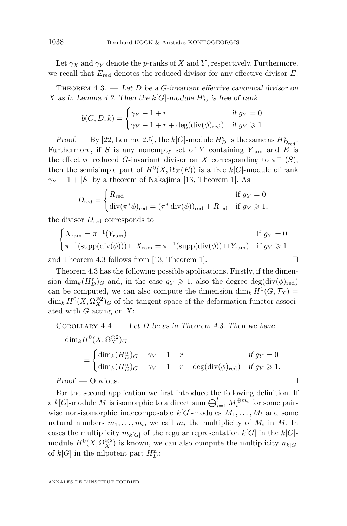<span id="page-24-0"></span>Let  $\gamma_X$  and  $\gamma_Y$  denote the *p*-ranks of *X* and *Y*, respectively. Furthermore, we recall that  $E_{\text{red}}$  denotes the reduced divisor for any effective divisor  $E$ .

THEOREM 4.3. — Let *D* be a *G*-invariant effective canonical divisor on *X* as in Lemma [4.2.](#page-22-0) Then the  $k[G]$ -module  $H_D^s$  is free of rank

$$
b(G, D, k) = \begin{cases} \gamma_Y - 1 + r & \text{if } g_Y = 0\\ \gamma_Y - 1 + r + \deg(\text{div}(\phi)_{\text{red}}) & \text{if } g_Y \ge 1. \end{cases}
$$

*Proof.* — By [\[22,](#page-29-0) Lemma 2.5], the  $k[G]$ -module  $H_D^s$  is the same as  $H_{D_{red}}^s$ . Furthermore, if *S* is any nonempty set of *Y* containing  $Y_{\text{ram}}$  and *E* is the effective reduced *G*-invariant divisor on *X* corresponding to  $\pi^{-1}(S)$ , then the semisimple part of  $H^0(X, \Omega_X(E))$  is a free  $k[G]$ -module of rank  $\gamma_Y - 1 + |S|$  by a theorem of Nakajima [\[13,](#page-29-0) Theorem 1]. As

$$
D_{\text{red}} = \begin{cases} R_{\text{red}} & \text{if } g_Y = 0\\ \text{div}(\pi^* \phi)_{\text{red}} = (\pi^* \text{div}(\phi))_{\text{red}} + R_{\text{red}} & \text{if } g_Y \ge 1, \end{cases}
$$

the divisor  $D_{\text{red}}$  corresponds to

$$
\begin{cases}\nX_{\text{ram}} = \pi^{-1}(Y_{\text{ram}}) & \text{if } g_Y = 0 \\
\pi^{-1}(\text{supp}(\text{div}(\phi))) \sqcup X_{\text{ram}} = \pi^{-1}(\text{supp}(\text{div}(\phi)) \sqcup Y_{\text{ram}}) & \text{if } g_Y \ge 1\n\end{cases}
$$

and Theorem 4.3 follows from [\[13,](#page-29-0) Theorem 1].  $\Box$ 

Theorem 4.3 has the following possible applications. Firstly, if the dimension  $\dim_k(H_D^{\rm n})_G$  and, in the case  $g_Y \geq 1$ , also the degree  $\deg(\text{div}(\phi)_{\text{red}})$ can be computed, we can also compute the dimension  $\dim_k H^1(G, \mathcal{T}_X) =$  $\dim_k H^0(X, \Omega_X^{\otimes 2})$ *G* of the tangent space of the deformation functor associated with *G* acting on *X*:

COROLLARY  $4.4.$  — Let *D* be as in Theorem 4.3. Then we have

$$
\dim_k H^0(X, \Omega_X^{\otimes 2})_G
$$
  
= 
$$
\begin{cases} \dim_k (H_D^n)_G + \gamma_Y - 1 + r & \text{if } g_Y = 0 \\ \dim_k (H_D^n)_G + \gamma_Y - 1 + r + \deg(\operatorname{div}(\phi)_{\text{red}}) & \text{if } g_Y \ge 1. \end{cases}
$$

Proof. — Obvious. □

For the second application we first introduce the following definition. If a  $k[G]$ -module M is isomorphic to a direct sum  $\bigoplus_{i=1}^{l} M_i^{\oplus m_i}$  for some pairwise non-isomorphic indecomposable  $k[G]$ -modules  $M_1, \ldots, M_l$  and some natural numbers  $m_1, \ldots, m_l$ , we call  $m_i$  the multiplicity of  $M_i$  in  $M$ . In cases the multiplicity  $m_{k[G]}$  of the regular representation  $k[G]$  in the  $k[G]$ module  $H^0(X, \Omega_X^{\otimes 2})$  is known, we can also compute the multiplicity  $n_{k[G]}$ of  $k[G]$  in the nilpotent part  $H_D^n$ :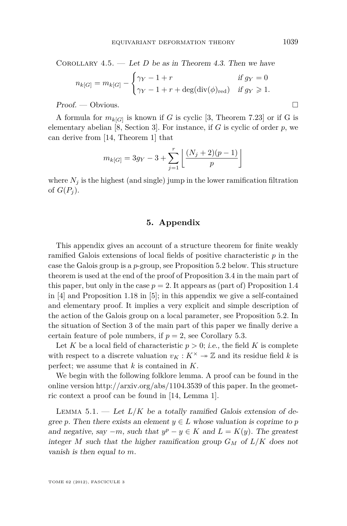<span id="page-25-0"></span>COROLLARY  $4.5.$  — Let *D* be as in Theorem [4.3.](#page-24-0) Then we have

$$
n_{k[G]} = m_{k[G]} - \begin{cases} \gamma_Y - 1 + r & \text{if } g_Y = 0\\ \gamma_Y - 1 + r + \deg(\text{div}(\phi)_{\text{red}}) & \text{if } g_Y \ge 1. \end{cases}
$$

Proof. — Obvious.

A formula for  $m_{k[G]}$  is known if *G* is cyclic [\[3,](#page-28-0) Theorem 7.23] or if *G* is elementary abelian [\[8,](#page-28-0) Section 3]. For instance, if *G* is cyclic of order *p*, we can derive from [\[14,](#page-29-0) Theorem 1] that

$$
m_{k[G]} = 3g_Y - 3 + \sum_{j=1}^{r} \left\lfloor \frac{(N_j + 2)(p-1)}{p} \right\rfloor
$$

where  $N_i$  is the highest (and single) jump in the lower ramification filtration of  $G(P_i)$ .

#### **5. Appendix**

This appendix gives an account of a structure theorem for finite weakly ramified Galois extensions of local fields of positive characteristic *p* in the case the Galois group is a *p*-group, see Proposition [5.2](#page-26-0) below. This structure theorem is used at the end of the proof of Proposition [3.4](#page-10-0) in the main part of this paper, but only in the case  $p = 2$ . It appears as (part of) Proposition 1.4 in [\[4\]](#page-28-0) and Proposition 1.18 in [\[5\]](#page-28-0); in this appendix we give a self-contained and elementary proof. It implies a very explicit and simple description of the action of the Galois group on a local parameter, see Proposition [5.2.](#page-26-0) In the situation of Section [3](#page-9-0) of the main part of this paper we finally derive a certain feature of pole numbers, if  $p = 2$ , see Corollary [5.3.](#page-26-0)

Let *K* be a local field of characteristic  $p > 0$ ; *i.e.*, the field *K* is complete with respect to a discrete valuation  $v_K : K^\times \to \mathbb{Z}$  and its residue field k is perfect; we assume that *k* is contained in *K*.

We begin with the following folklore lemma. A proof can be found in the online version http://arxiv.org/abs/1104.3539 of this paper. In the geometric context a proof can be found in [\[14,](#page-29-0) Lemma 1].

LEMMA 5.1. — Let  $L/K$  be a totally ramified Galois extension of degree p. Then there exists an element  $y \in L$  whose valuation is coprime to p and negative, say  $-m$ , such that  $y^p - y \in K$  and  $L = K(y)$ . The greatest integer *M* such that the higher ramification group  $G_M$  of  $L/K$  does not vanish is then equal to *m*.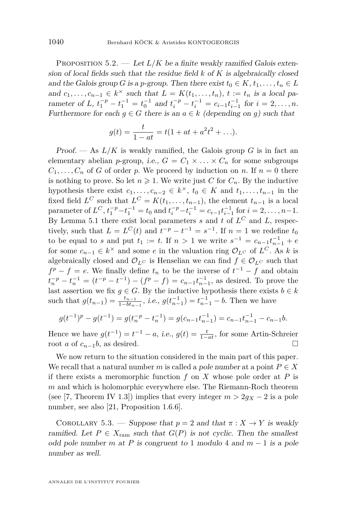<span id="page-26-0"></span>PROPOSITION  $5.2.$  — Let  $L/K$  be a finite weakly ramified Galois extension of local fields such that the residue field *k* of *K* is algebraically closed and the Galois group *G* is a *p*-group. Then there exist  $t_0 \in K$ ,  $t_1, \ldots, t_n \in L$ and  $c_1, \ldots, c_{n-1} \in k^\times$  such that  $L = K(t_1, \ldots, t_n)$ ,  $t := t_n$  is a local parameter of *L*,  $t_1^{-p} - t_1^{-1} = t_0^{-1}$  and  $t_i^{-p} - t_i^{-1} = c_{i-1} t_{i-1}^{-1}$  for  $i = 2, ..., n$ . Furthermore for each  $g \in G$  there is an  $a \in k$  (depending on *g*) such that

$$
g(t) = \frac{t}{1 - at} = t(1 + at + a^2t^2 + \ldots).
$$

Proof. — As  $L/K$  is weakly ramified, the Galois group G is in fact an elementary abelian *p*-group, *i.e.*,  $G = C_1 \times \ldots \times C_n$  for some subgroups  $C_1, \ldots, C_n$  of *G* of order *p*. We proceed by induction on *n*. If  $n = 0$  there is nothing to prove. So let  $n \geq 1$ . We write just *C* for  $C_n$ . By the inductive hypothesis there exist  $c_1, \ldots, c_{n-2} \in k^\times$ ,  $t_0 \in K$  and  $t_1, \ldots, t_{n-1}$  in the fixed field  $L^C$  such that  $L^C = K(t_1, \ldots, t_{n-1})$ , the element  $t_{n-1}$  is a local parameter of  $L^C$ ,  $t_1^{-p} - t_1^{-1} = t_0$  and  $t_i^{-p} - t_i^{-1} = c_{i-1} t_{i-1}^{-1}$  for  $i = 2, ..., n-1$ . By Lemma [5.1](#page-25-0) there exist local parameters *s* and *t* of *L <sup>C</sup>* and *L*, respectively, such that  $L = L^C(t)$  and  $t^{-p} - t^{-1} = s^{-1}$ . If  $n = 1$  we redefine  $t_0$ to be equal to *s* and put  $t_1 := t$ . If  $n > 1$  we write  $s^{-1} = c_{n-1}t_{n-1}^{-1} + e$ for some  $c_{n-1} \in k^{\times}$  and some *e* in the valuation ring  $\mathcal{O}_{L^C}$  of  $L^C$ . As *k* is algebraically closed and  $\mathcal{O}_{L^C}$  is Henselian we can find  $f \in \mathcal{O}_{L^C}$  such that  $f^p - f = e$ . We finally define  $t_n$  to be the inverse of  $t^{-1} - f$  and obtain  $t_n^{-p} - t_n^{-1} = (t^{-p} - t^{-1}) - (f^p - f) = c_{n-1} t_{n-1}^{-1}$ , as desired. To prove the last assertion we fix  $g \in G$ . By the inductive hypothesis there exists  $b \in k$ such that  $g(t_{n-1}) = \frac{t_{n-1}}{1 - bt_{n-1}}$ , *i.e.*,  $g(t_{n-1}^{-1}) = t_{n-1}^{-1} - b$ . Then we have

$$
g(t^{-1})^p - g(t^{-1}) = g(t_n^{-p} - t_n^{-1}) = g(c_{n-1}t_{n-1}^{-1}) = c_{n-1}t_{n-1}^{-1} - c_{n-1}b.
$$

Hence we have  $g(t^{-1}) = t^{-1} - a$ , *i.e.*,  $g(t) = \frac{t}{1 - at}$ , for some Artin-Schreier root *a* of  $c_{n-1}b$ , as desired.

We now return to the situation considered in the main part of this paper. We recall that a natural number *m* is called a pole number at a point  $P \in X$ if there exists a meromorphic function *f* on *X* whose pole order at *P* is *m* and which is holomorphic everywhere else. The Riemann-Roch theorem (see [\[7,](#page-28-0) Theorem IV 1.3]) implies that every integer  $m > 2g_X - 2$  is a pole number, see also [\[21,](#page-29-0) Proposition 1.6.6].

COROLLARY 5.3. — Suppose that  $p = 2$  and that  $\pi : X \to Y$  is weakly ramified. Let  $P \in X_{\text{ram}}$  such that  $G(P)$  is not cyclic. Then the smallest odd pole number *m* at *P* is congruent to 1 modulo 4 and  $m - 1$  is a pole number as well.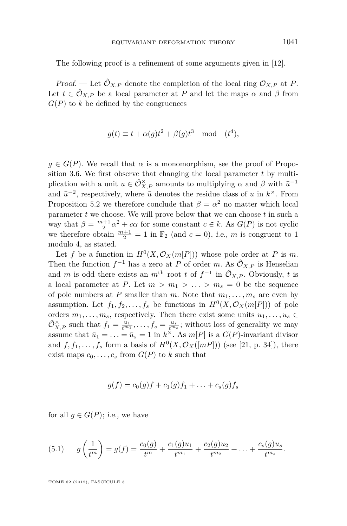<span id="page-27-0"></span>The following proof is a refinement of some arguments given in [\[12\]](#page-29-0).

Proof. — Let  $\hat{\mathcal{O}}_{X,P}$  denote the completion of the local ring  $\mathcal{O}_{X,P}$  at *P*. Let  $t \in \hat{\mathcal{O}}_{X,P}$  be a local parameter at *P* and let the maps  $\alpha$  and  $\beta$  from  $G(P)$  to  $k$  be defined by the congruences

$$
g(t) \equiv t + \alpha(g)t^2 + \beta(g)t^3 \mod (t^4),
$$

 $g \in G(P)$ . We recall that  $\alpha$  is a monomorphism, see the proof of Proposition [3.6.](#page-11-0) We first observe that changing the local parameter *t* by multiplication with a unit  $u \in \hat{\mathcal{O}}_{X,P}^{\times}$  amounts to multiplying  $\alpha$  and  $\beta$  with  $\bar{u}^{-1}$ and  $\bar{u}^{-2}$ , respectively, where  $\bar{u}$  denotes the residue class of *u* in  $k^{\times}$ . From Proposition [5.2](#page-26-0) we therefore conclude that  $\beta = \alpha^2$  no matter which local parameter *t* we choose. We will prove below that we can choose *t* in such a way that  $\beta = \frac{m+1}{2}\alpha^2 + c\alpha$  for some constant  $c \in k$ . As  $G(P)$  is not cyclic we therefore obtain  $\frac{m+1}{2} = 1$  in  $\mathbb{F}_2$  (and  $c = 0$ ), *i.e.*, *m* is congruent to 1 modulo 4, as stated.

Let *f* be a function in  $H^0(X, \mathcal{O}_X(m[P]))$  whose pole order at *P* is *m*. Then the function  $f^{-1}$  has a zero at *P* of order *m*. As  $\hat{\mathcal{O}}_{X,P}$  is Henselian and *m* is odd there exists an  $m^{\text{th}}$  root *t* of  $f^{-1}$  in  $\hat{\mathcal{O}}_{X,P}$ . Obviously, *t* is a local parameter at *P*. Let  $m > m_1 > ... > m_s = 0$  be the sequence of pole numbers at *P* smaller than *m*. Note that  $m_1, \ldots, m_s$  are even by assumption. Let  $f_1, f_2, \ldots, f_s$  be functions in  $H^0(X, \mathcal{O}_X(m[P]))$  of pole orders  $m_1, \ldots, m_s$ , respectively. Then there exist some units  $u_1, \ldots, u_s \in$  $\hat{O}_{X,P}^{\times}$  such that  $f_1 = \frac{u_1}{t^{m_1}}, \ldots, f_s = \frac{u_s}{t^{m_s}}$ ; without loss of generality we may assume that  $\bar{u}_1 = \ldots = \bar{u}_s = 1$  in  $k^\times$ . As  $m[P]$  is a  $G(P)$ -invariant divisor and  $f, f_1, \ldots, f_s$  form a basis of  $H^0(X, \mathcal{O}_X([m])$  (see [\[21,](#page-29-0) p. 34]), there exist maps  $c_0, \ldots, c_s$  from  $G(P)$  to  $k$  such that

$$
g(f) = c_0(g)f + c_1(g)f_1 + \ldots + c_s(g)f_s
$$

for all  $g \in G(P)$ ; *i.e.*, we have

(5.1) 
$$
g\left(\frac{1}{t^m}\right) = g(f) = \frac{c_0(g)}{t^m} + \frac{c_1(g)u_1}{t^{m_1}} + \frac{c_2(g)u_2}{t^{m_2}} + \ldots + \frac{c_s(g)u_s}{t^{m_s}}.
$$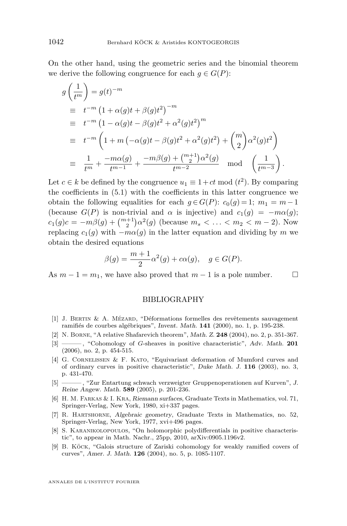<span id="page-28-0"></span>On the other hand, using the geometric series and the binomial theorem we derive the following congruence for each  $q \in G(P)$ :

$$
g\left(\frac{1}{t^m}\right) = g(t)^{-m}
$$
  
\n
$$
\equiv t^{-m} (1 + \alpha(g)t + \beta(g)t^2)^{-m}
$$
  
\n
$$
\equiv t^{-m} (1 - \alpha(g)t - \beta(g)t^2 + \alpha^2(g)t^2)^m
$$
  
\n
$$
\equiv t^{-m} \left(1 + m\left(-\alpha(g)t - \beta(g)t^2 + \alpha^2(g)t^2\right) + {m \choose 2} \alpha^2(g)t^2\right)
$$
  
\n
$$
\equiv \frac{1}{t^m} + \frac{-m\alpha(g)}{t^{m-1}} + \frac{-m\beta(g) + {m+1 \choose 2} \alpha^2(g)}{t^{m-2}} \mod \left(\frac{1}{t^{m-3}}\right).
$$

Let  $c \in k$  be defined by the congruence  $u_1 \equiv 1 + ct \mod (t^2)$ . By comparing the coefficients in [\(5.1\)](#page-27-0) with the coefficients in this latter congruence we obtain the following equalities for each  $g \in G(P)$ :  $c_0(g) = 1$ ;  $m_1 = m-1$ (because  $G(P)$  is non-trivial and  $\alpha$  is injective) and  $c_1(g) = -m\alpha(g);$  $c_1(g)c = -m\beta(g) + {m+1 \choose 2}\alpha^2(g)$  (because  $m_s < \dots < m_2 < m-2$ ). Now replacing  $c_1(g)$  with  $-m\alpha(g)$  in the latter equation and dividing by *m* we obtain the desired equations

$$
\beta(g) = \frac{m+1}{2}\alpha^2(g) + c\alpha(g), \quad g \in G(P).
$$

As  $m-1 = m_1$ , we have also proved that  $m-1$  is a pole number.

#### BIBLIOGRAPHY

- [1] J. Bertin & A. Mézard, "Déformations formelles des revêtements sauvagement ramifiés de courbes algébriques", Invent. Math. **141** (2000), no. 1, p. 195-238.
- [2] N. Borne, "A relative Shafarevich theorem", Math. Z. **248** (2004), no. 2, p. 351-367.
- [3] ——— , "Cohomology of *G*-sheaves in positive characteristic", Adv. Math. **201** (2006), no. 2, p. 454-515.
- [4] G. Cornelissen & F. Kato, "Equivariant deformation of Mumford curves and of ordinary curves in positive characteristic", Duke Math. J. **116** (2003), no. 3, p. 431-470.
- [5] ——— , "Zur Entartung schwach verzweigter Gruppenoperationen auf Kurven", J. Reine Angew. Math. **589** (2005), p. 201-236.
- [6] H. M. Farkas & I. Kra, Riemann surfaces, Graduate Texts in Mathematics, vol. 71, Springer-Verlag, New York, 1980, xi+337 pages.
- [7] R. Hartshorne, Algebraic geometry, Graduate Texts in Mathematics, no. 52, Springer-Verlag, New York, 1977, xvi+496 pages.
- [8] S. Karanikolopoulos, "On holomorphic polydifferentials in positive characteristic", to appear in Math. Nachr., 25pp, 2010, arXiv:0905.1196v2.
- [9] B. Köck, "Galois structure of Zariski cohomology for weakly ramified covers of curves", Amer. J. Math. **126** (2004), no. 5, p. 1085-1107.